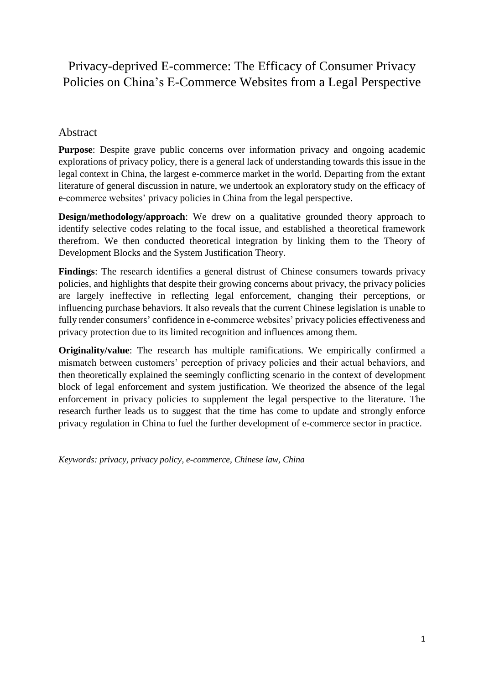# Privacy-deprived E-commerce: The Efficacy of Consumer Privacy Policies on China's E-Commerce Websites from a Legal Perspective

## Abstract

**Purpose**: Despite grave public concerns over information privacy and ongoing academic explorations of privacy policy, there is a general lack of understanding towards this issue in the legal context in China, the largest e-commerce market in the world. Departing from the extant literature of general discussion in nature, we undertook an exploratory study on the efficacy of e-commerce websites' privacy policies in China from the legal perspective.

**Design/methodology/approach:** We drew on a qualitative grounded theory approach to identify selective codes relating to the focal issue, and established a theoretical framework therefrom. We then conducted theoretical integration by linking them to the Theory of Development Blocks and the System Justification Theory.

**Findings**: The research identifies a general distrust of Chinese consumers towards privacy policies, and highlights that despite their growing concerns about privacy, the privacy policies are largely ineffective in reflecting legal enforcement, changing their perceptions, or influencing purchase behaviors. It also reveals that the current Chinese legislation is unable to fully render consumers' confidence in e-commerce websites' privacy policies effectiveness and privacy protection due to its limited recognition and influences among them.

**Originality/value**: The research has multiple ramifications. We empirically confirmed a mismatch between customers' perception of privacy policies and their actual behaviors, and then theoretically explained the seemingly conflicting scenario in the context of development block of legal enforcement and system justification. We theorized the absence of the legal enforcement in privacy policies to supplement the legal perspective to the literature. The research further leads us to suggest that the time has come to update and strongly enforce privacy regulation in China to fuel the further development of e-commerce sector in practice.

*Keywords: privacy, privacy policy, e-commerce, Chinese law, China*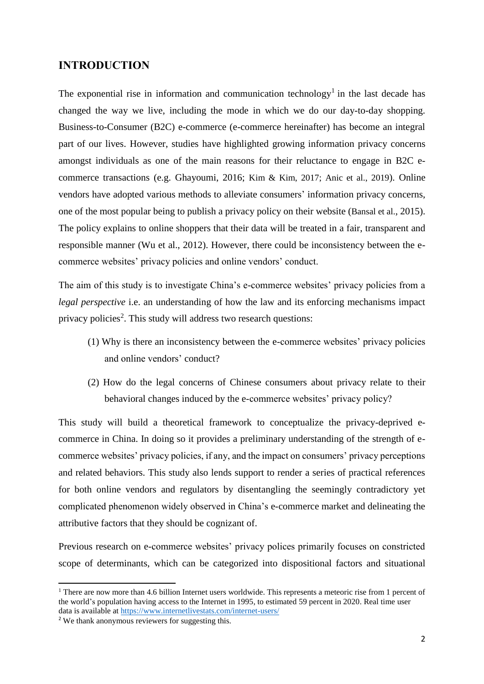## **INTRODUCTION**

The exponential rise in information and communication technology<sup>1</sup> in the last decade has changed the way we live, including the mode in which we do our day-to-day shopping. Business-to-Consumer (B2C) e-commerce (e-commerce hereinafter) has become an integral part of our lives. However, studies have highlighted growing information privacy concerns amongst individuals as one of the main reasons for their reluctance to engage in B2C ecommerce transactions (e.g. Ghayoumi, 2016; Kim & Kim, 2017; Anic et al., 2019). Online vendors have adopted various methods to alleviate consumers' information privacy concerns, one of the most popular being to publish a privacy policy on their website (Bansal et al., 2015). The policy explains to online shoppers that their data will be treated in a fair, transparent and responsible manner (Wu et al., 2012). However, there could be inconsistency between the ecommerce websites' privacy policies and online vendors' conduct.

The aim of this study is to investigate China's e-commerce websites' privacy policies from a *legal perspective* i.e. an understanding of how the law and its enforcing mechanisms impact privacy policies<sup>2</sup>. This study will address two research questions:

- (1) Why is there an inconsistency between the e-commerce websites' privacy policies and online vendors' conduct?
- (2) How do the legal concerns of Chinese consumers about privacy relate to their behavioral changes induced by the e-commerce websites' privacy policy?

This study will build a theoretical framework to conceptualize the privacy-deprived ecommerce in China. In doing so it provides a preliminary understanding of the strength of ecommerce websites' privacy policies, if any, and the impact on consumers' privacy perceptions and related behaviors. This study also lends support to render a series of practical references for both online vendors and regulators by disentangling the seemingly contradictory yet complicated phenomenon widely observed in China's e-commerce market and delineating the attributive factors that they should be cognizant of.

Previous research on e-commerce websites' privacy polices primarily focuses on constricted scope of determinants, which can be categorized into dispositional factors and situational

1

 $1$  There are now more than 4.6 billion Internet users worldwide. This represents a meteoric rise from 1 percent of the world's population having access to the Internet in 1995, to estimated 59 percent in 2020. Real time user data is available a[t https://www.internetlivestats.com/internet-users/](https://www.internetlivestats.com/internet-users/)

<sup>&</sup>lt;sup>2</sup> We thank anonymous reviewers for suggesting this.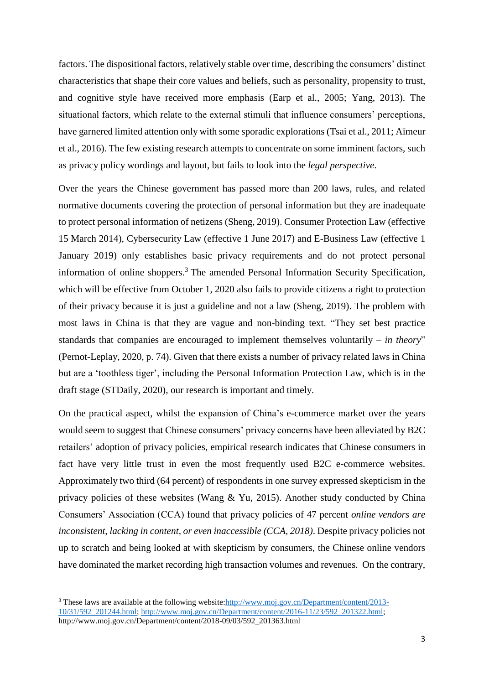factors. The dispositional factors, relatively stable over time, describing the consumers' distinct characteristics that shape their core values and beliefs, such as personality, propensity to trust, and cognitive style have received more emphasis (Earp et al., 2005; Yang, 2013). The situational factors, which relate to the external stimuli that influence consumers' perceptions, have garnered limited attention only with some sporadic explorations (Tsai et al., 2011; Aïmeur et al., 2016). The few existing research attempts to concentrate on some imminent factors, such as privacy policy wordings and layout, but fails to look into the *legal perspective*.

Over the years the Chinese government has passed more than 200 laws, rules, and related normative documents covering the protection of personal information but they are inadequate to protect personal information of netizens (Sheng, 2019). Consumer Protection Law (effective 15 March 2014), Cybersecurity Law (effective 1 June 2017) and E-Business Law (effective 1 January 2019) only establishes basic privacy requirements and do not protect personal information of online shoppers.<sup>3</sup> The amended Personal Information Security Specification, which will be effective from October 1, 2020 also fails to provide citizens a right to protection of their privacy because it is just a guideline and not a law (Sheng, 2019). The problem with most laws in China is that they are vague and non-binding text. "They set best practice standards that companies are encouraged to implement themselves voluntarily – *in theory*" (Pernot-Leplay, 2020, p. 74). Given that there exists a number of privacy related laws in China but are a 'toothless tiger', including the Personal Information Protection Law, which is in the draft stage (STDaily, 2020), our research is important and timely.

On the practical aspect, whilst the expansion of China's e-commerce market over the years would seem to suggest that Chinese consumers' privacy concerns have been alleviated by B2C retailers' adoption of privacy policies, empirical research indicates that Chinese consumers in fact have very little trust in even the most frequently used B2C e-commerce websites. Approximately two third (64 percent) of respondents in one survey expressed skepticism in the privacy policies of these websites (Wang & Yu, 2015). Another study conducted by China Consumers' Association (CCA) found that privacy policies of 47 percent *online vendors are inconsistent, lacking in content, or even inaccessible (CCA, 2018)*. Despite privacy policies not up to scratch and being looked at with skepticism by consumers, the Chinese online vendors have dominated the market recording high transaction volumes and revenues. On the contrary,

 $\overline{\phantom{a}}$ 

<sup>&</sup>lt;sup>3</sup> These laws are available at the following website[:http://www.moj.gov.cn/Department/content/2013-](http://www.moj.gov.cn/Department/content/2013-10/31/592_201244.html) [10/31/592\\_201244.html;](http://www.moj.gov.cn/Department/content/2013-10/31/592_201244.html) [http://www.moj.gov.cn/Department/content/2016-11/23/592\\_201322.html;](http://www.moj.gov.cn/Department/content/2016-11/23/592_201322.html) http://www.moj.gov.cn/Department/content/2018-09/03/592\_201363.html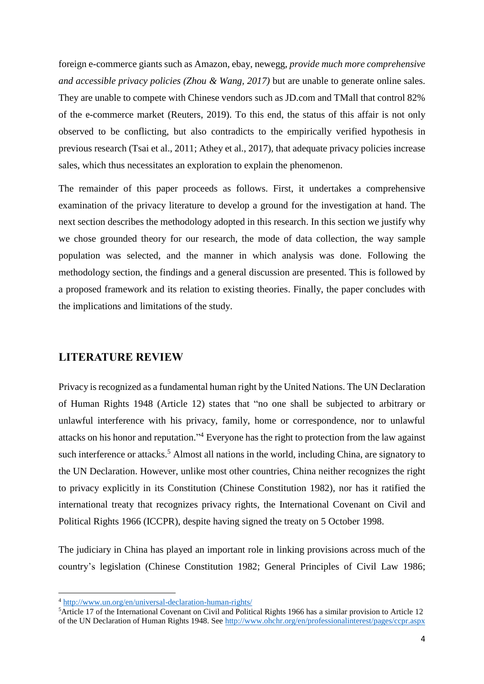foreign e-commerce giants such as Amazon, ebay, newegg, *provide much more comprehensive and accessible privacy policies (Zhou & Wang, 2017)* but are unable to generate online sales. They are unable to compete with Chinese vendors such as JD.com and TMall that control 82% of the e-commerce market (Reuters, 2019). To this end, the status of this affair is not only observed to be conflicting, but also contradicts to the empirically verified hypothesis in previous research (Tsai et al., 2011; Athey et al., 2017), that adequate privacy policies increase sales, which thus necessitates an exploration to explain the phenomenon.

The remainder of this paper proceeds as follows. First, it undertakes a comprehensive examination of the privacy literature to develop a ground for the investigation at hand. The next section describes the methodology adopted in this research. In this section we justify why we chose grounded theory for our research, the mode of data collection, the way sample population was selected, and the manner in which analysis was done. Following the methodology section, the findings and a general discussion are presented. This is followed by a proposed framework and its relation to existing theories. Finally, the paper concludes with the implications and limitations of the study.

#### **LITERATURE REVIEW**

Privacy is recognized as a fundamental human right by the United Nations. The UN Declaration of Human Rights 1948 (Article 12) states that "no one shall be subjected to arbitrary or unlawful interference with his privacy, family, home or correspondence, nor to unlawful attacks on his honor and reputation." <sup>4</sup> Everyone has the right to protection from the law against such interference or attacks.<sup>5</sup> Almost all nations in the world, including China, are signatory to the UN Declaration. However, unlike most other countries, China neither recognizes the right to privacy explicitly in its Constitution (Chinese Constitution 1982), nor has it ratified the international treaty that recognizes privacy rights, the International Covenant on Civil and Political Rights 1966 (ICCPR), despite having signed the treaty on 5 October 1998.

The judiciary in China has played an important role in linking provisions across much of the country's legislation (Chinese Constitution 1982; General Principles of Civil Law 1986;

 $\overline{\phantom{a}}$ 

<sup>&</sup>lt;sup>4</sup> <http://www.un.org/en/universal-declaration-human-rights/>

<sup>5</sup>Article 17 of the International Covenant on Civil and Political Rights 1966 has a similar provision to Article 12 of the UN Declaration of Human Rights 1948. See <http://www.ohchr.org/en/professionalinterest/pages/ccpr.aspx>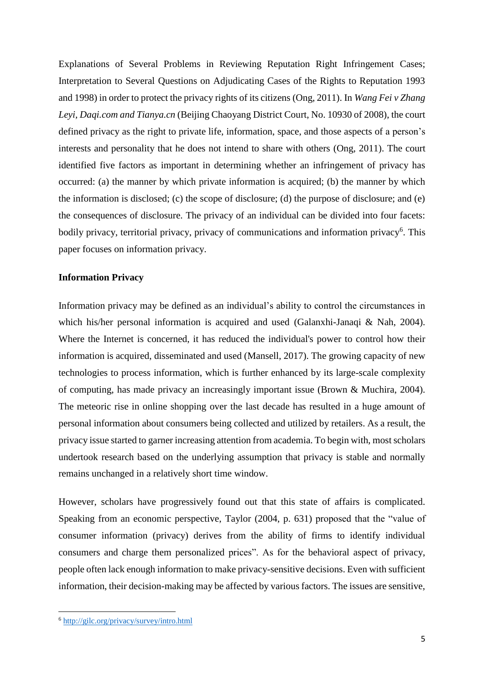Explanations of Several Problems in Reviewing Reputation Right Infringement Cases; Interpretation to Several Questions on Adjudicating Cases of the Rights to Reputation 1993 and 1998) in order to protect the privacy rights of its citizens (Ong, 2011). In *Wang Fei v Zhang Leyi, Daqi.com and Tianya.cn* (Beijing Chaoyang District Court, No. 10930 of 2008), the court defined privacy as the right to private life, information, space, and those aspects of a person's interests and personality that he does not intend to share with others (Ong, 2011). The court identified five factors as important in determining whether an infringement of privacy has occurred: (a) the manner by which private information is acquired; (b) the manner by which the information is disclosed; (c) the scope of disclosure; (d) the purpose of disclosure; and (e) the consequences of disclosure. The privacy of an individual can be divided into four facets: bodily privacy, territorial privacy, privacy of communications and information privacy<sup>6</sup>. This paper focuses on information privacy.

#### **Information Privacy**

Information privacy may be defined as an individual's ability to control the circumstances in which his/her personal information is acquired and used (Galanxhi-Janaqi & Nah, 2004). Where the Internet is concerned, it has reduced the individual's power to control how their information is acquired, disseminated and used (Mansell, 2017). The growing capacity of new technologies to process information, which is further enhanced by its large-scale complexity of computing, has made privacy an increasingly important issue (Brown & Muchira, 2004). The meteoric rise in online shopping over the last decade has resulted in a huge amount of personal information about consumers being collected and utilized by retailers. As a result, the privacy issue started to garner increasing attention from academia. To begin with, most scholars undertook research based on the underlying assumption that privacy is stable and normally remains unchanged in a relatively short time window.

However, scholars have progressively found out that this state of affairs is complicated. Speaking from an economic perspective, Taylor (2004, p. 631) proposed that the "value of consumer information (privacy) derives from the ability of firms to identify individual consumers and charge them personalized prices". As for the behavioral aspect of privacy, people often lack enough information to make privacy-sensitive decisions. Even with sufficient information, their decision-making may be affected by various factors. The issues are sensitive,

**.** 

<sup>6</sup> <http://gilc.org/privacy/survey/intro.html>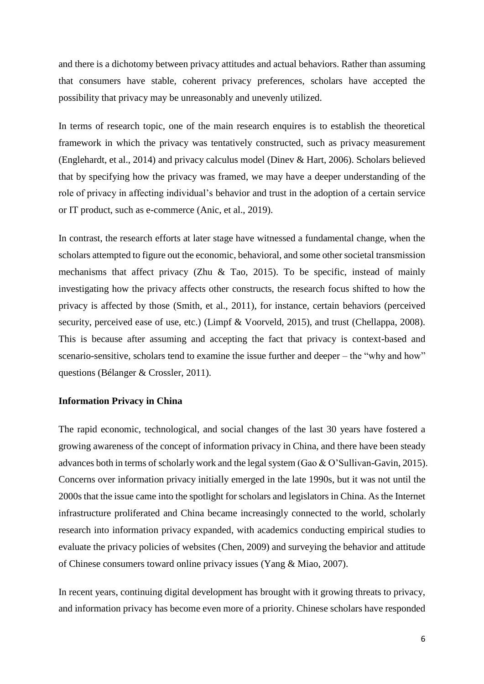and there is a dichotomy between privacy attitudes and actual behaviors. Rather than assuming that consumers have stable, coherent privacy preferences, scholars have accepted the possibility that privacy may be unreasonably and unevenly utilized.

In terms of research topic, one of the main research enquires is to establish the theoretical framework in which the privacy was tentatively constructed, such as privacy measurement (Englehardt, et al., 2014) and privacy calculus model (Dinev & Hart, 2006). Scholars believed that by specifying how the privacy was framed, we may have a deeper understanding of the role of privacy in affecting individual's behavior and trust in the adoption of a certain service or IT product, such as e-commerce (Anic, et al., 2019).

In contrast, the research efforts at later stage have witnessed a fundamental change, when the scholars attempted to figure out the economic, behavioral, and some other societal transmission mechanisms that affect privacy (Zhu & Tao, 2015). To be specific, instead of mainly investigating how the privacy affects other constructs, the research focus shifted to how the privacy is affected by those (Smith, et al., 2011), for instance, certain behaviors (perceived security, perceived ease of use, etc.) (Limpf & Voorveld, 2015), and trust (Chellappa, 2008). This is because after assuming and accepting the fact that privacy is context-based and scenario-sensitive, scholars tend to examine the issue further and deeper – the "why and how" questions (Bélanger & Crossler, 2011).

#### **Information Privacy in China**

The rapid economic, technological, and social changes of the last 30 years have fostered a growing awareness of the concept of information privacy in China, and there have been steady advances both in terms of scholarly work and the legal system (Gao & O'Sullivan-Gavin, 2015). Concerns over information privacy initially emerged in the late 1990s, but it was not until the 2000s that the issue came into the spotlight for scholars and legislators in China. As the Internet infrastructure proliferated and China became increasingly connected to the world, scholarly research into information privacy expanded, with academics conducting empirical studies to evaluate the privacy policies of websites (Chen, 2009) and surveying the behavior and attitude of Chinese consumers toward online privacy issues (Yang & Miao, 2007).

In recent years, continuing digital development has brought with it growing threats to privacy, and information privacy has become even more of a priority. Chinese scholars have responded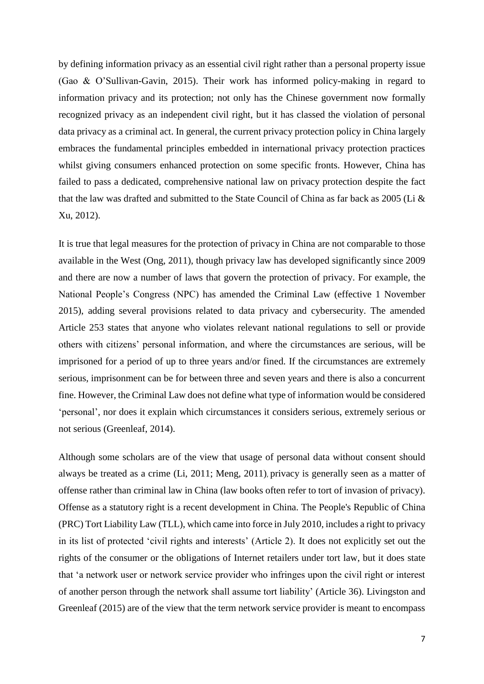by defining information privacy as an essential civil right rather than a personal property issue (Gao & O'Sullivan-Gavin, 2015). Their work has informed policy-making in regard to information privacy and its protection; not only has the Chinese government now formally recognized privacy as an independent civil right, but it has classed the violation of personal data privacy as a criminal act. In general, the current privacy protection policy in China largely embraces the fundamental principles embedded in international privacy protection practices whilst giving consumers enhanced protection on some specific fronts. However, China has failed to pass a dedicated, comprehensive national law on privacy protection despite the fact that the law was drafted and submitted to the State Council of China as far back as 2005 (Li & Xu, 2012).

It is true that legal measures for the protection of privacy in China are not comparable to those available in the West (Ong, 2011), though privacy law has developed significantly since 2009 and there are now a number of laws that govern the protection of privacy. For example, the National People's Congress (NPC) has amended the Criminal Law (effective 1 November 2015), adding several provisions related to data privacy and cybersecurity. The amended Article 253 states that anyone who violates relevant national regulations to sell or provide others with citizens' personal information, and where the circumstances are serious, will be imprisoned for a period of up to three years and/or fined. If the circumstances are extremely serious, imprisonment can be for between three and seven years and there is also a concurrent fine. However, the Criminal Law does not define what type of information would be considered 'personal', nor does it explain which circumstances it considers serious, extremely serious or not serious (Greenleaf, 2014).

Although some scholars are of the view that usage of personal data without consent should always be treated as a crime (Li, 2011; Meng, 2011), privacy is generally seen as a matter of offense rather than criminal law in China (law books often refer to tort of invasion of privacy). Offense as a statutory right is a recent development in China. The People's Republic of China (PRC) Tort Liability Law (TLL), which came into force in July 2010, includes a right to privacy in its list of protected 'civil rights and interests' (Article 2). It does not explicitly set out the rights of the consumer or the obligations of Internet retailers under tort law, but it does state that 'a network user or network service provider who infringes upon the civil right or interest of another person through the network shall assume tort liability' (Article 36). Livingston and Greenleaf (2015) are of the view that the term network service provider is meant to encompass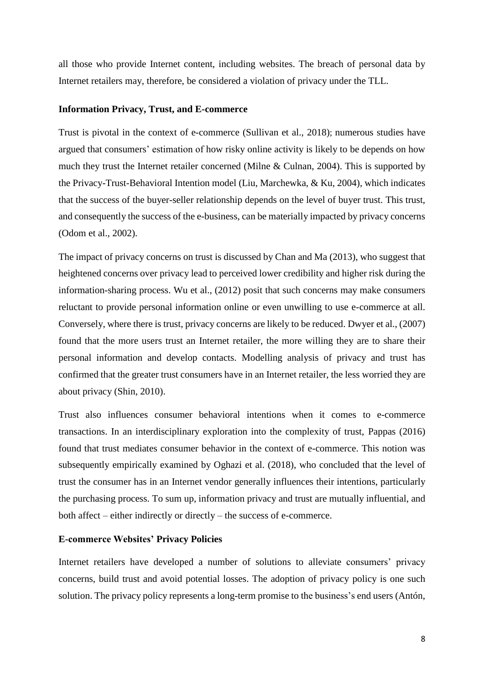all those who provide Internet content, including websites. The breach of personal data by Internet retailers may, therefore, be considered a violation of privacy under the TLL.

#### **Information Privacy, Trust, and E-commerce**

Trust is pivotal in the context of e-commerce (Sullivan et al., 2018); numerous studies have argued that consumers' estimation of how risky online activity is likely to be depends on how much they trust the Internet retailer concerned (Milne & Culnan, 2004). This is supported by the Privacy-Trust-Behavioral Intention model (Liu, Marchewka, & Ku, 2004), which indicates that the success of the buyer-seller relationship depends on the level of buyer trust. This trust, and consequently the success of the e-business, can be materially impacted by privacy concerns (Odom et al., 2002).

The impact of privacy concerns on trust is discussed by Chan and Ma (2013), who suggest that heightened concerns over privacy lead to perceived lower credibility and higher risk during the information-sharing process. Wu et al., (2012) posit that such concerns may make consumers reluctant to provide personal information online or even unwilling to use e-commerce at all. Conversely, where there is trust, privacy concerns are likely to be reduced. Dwyer et al., (2007) found that the more users trust an Internet retailer, the more willing they are to share their personal information and develop contacts. Modelling analysis of privacy and trust has confirmed that the greater trust consumers have in an Internet retailer, the less worried they are about privacy (Shin, 2010).

Trust also influences consumer behavioral intentions when it comes to e-commerce transactions. In an interdisciplinary exploration into the complexity of trust, Pappas (2016) found that trust mediates consumer behavior in the context of e-commerce. This notion was subsequently empirically examined by Oghazi et al. (2018), who concluded that the level of trust the consumer has in an Internet vendor generally influences their intentions, particularly the purchasing process. To sum up, information privacy and trust are mutually influential, and both affect – either indirectly or directly – the success of e-commerce.

### **E-commerce Websites' Privacy Policies**

Internet retailers have developed a number of solutions to alleviate consumers' privacy concerns, build trust and avoid potential losses. The adoption of privacy policy is one such solution. The privacy policy represents a long-term promise to the business's end users (Antón,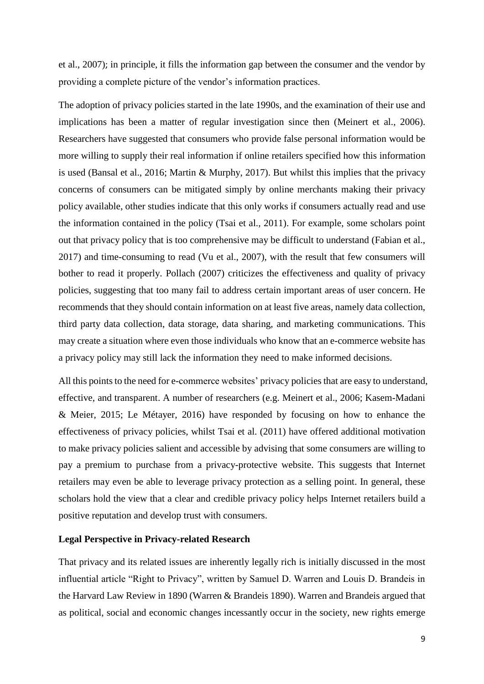et al., 2007); in principle, it fills the information gap between the consumer and the vendor by providing a complete picture of the vendor's information practices.

The adoption of privacy policies started in the late 1990s, and the examination of their use and implications has been a matter of regular investigation since then (Meinert et al., 2006). Researchers have suggested that consumers who provide false personal information would be more willing to supply their real information if online retailers specified how this information is used (Bansal et al., 2016; Martin & Murphy, 2017). But whilst this implies that the privacy concerns of consumers can be mitigated simply by online merchants making their privacy policy available, other studies indicate that this only works if consumers actually read and use the information contained in the policy (Tsai et al., 2011). For example, some scholars point out that privacy policy that is too comprehensive may be difficult to understand (Fabian et al., 2017) and time-consuming to read (Vu et al., 2007), with the result that few consumers will bother to read it properly. Pollach (2007) criticizes the effectiveness and quality of privacy policies, suggesting that too many fail to address certain important areas of user concern. He recommends that they should contain information on at least five areas, namely data collection, third party data collection, data storage, data sharing, and marketing communications. This may create a situation where even those individuals who know that an e-commerce website has a privacy policy may still lack the information they need to make informed decisions.

All this points to the need for e-commerce websites' privacy policies that are easy to understand, effective, and transparent. A number of researchers (e.g. Meinert et al., 2006; Kasem-Madani & Meier, 2015; Le Métayer, 2016) have responded by focusing on how to enhance the effectiveness of privacy policies, whilst Tsai et al. (2011) have offered additional motivation to make privacy policies salient and accessible by advising that some consumers are willing to pay a premium to purchase from a privacy-protective website. This suggests that Internet retailers may even be able to leverage privacy protection as a selling point. In general, these scholars hold the view that a clear and credible privacy policy helps Internet retailers build a positive reputation and develop trust with consumers.

### **Legal Perspective in Privacy-related Research**

That privacy and its related issues are inherently legally rich is initially discussed in the most influential article "Right to Privacy", written by Samuel D. Warren and Louis D. Brandeis in the Harvard Law Review in 1890 (Warren & Brandeis 1890). Warren and Brandeis argued that as political, social and economic changes incessantly occur in the society, new rights emerge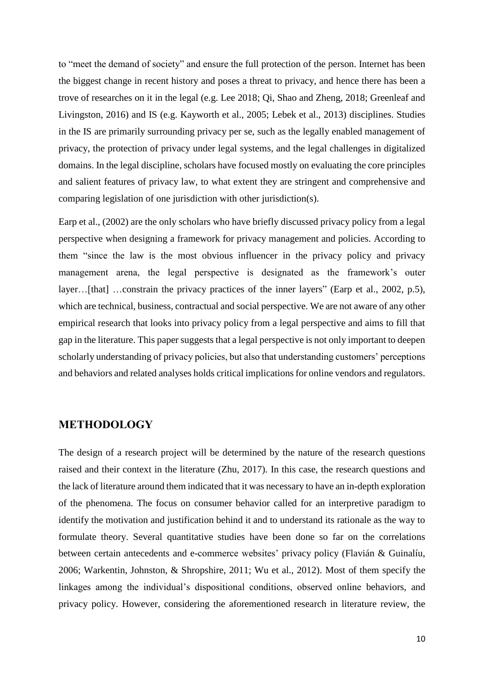to "meet the demand of society" and ensure the full protection of the person. Internet has been the biggest change in recent history and poses a threat to privacy, and hence there has been a trove of researches on it in the legal (e.g. Lee 2018; Qi, Shao and Zheng, 2018; Greenleaf and Livingston, 2016) and IS (e.g. Kayworth et al., 2005; Lebek et al., 2013) disciplines. Studies in the IS are primarily surrounding privacy per se, such as the legally enabled management of privacy, the protection of privacy under legal systems, and the legal challenges in digitalized domains. In the legal discipline, scholars have focused mostly on evaluating the core principles and salient features of privacy law, to what extent they are stringent and comprehensive and comparing legislation of one jurisdiction with other jurisdiction(s).

Earp et al., (2002) are the only scholars who have briefly discussed privacy policy from a legal perspective when designing a framework for privacy management and policies. According to them "since the law is the most obvious influencer in the privacy policy and privacy management arena, the legal perspective is designated as the framework's outer layer…[that] …constrain the privacy practices of the inner layers" (Earp et al., 2002, p.5), which are technical, business, contractual and social perspective. We are not aware of any other empirical research that looks into privacy policy from a legal perspective and aims to fill that gap in the literature. This paper suggests that a legal perspective is not only important to deepen scholarly understanding of privacy policies, but also that understanding customers' perceptions and behaviors and related analyses holds critical implications for online vendors and regulators.

## **METHODOLOGY**

The design of a research project will be determined by the nature of the research questions raised and their context in the literature (Zhu, 2017). In this case, the research questions and the lack of literature around them indicated that it was necessary to have an in-depth exploration of the phenomena. The focus on consumer behavior called for an interpretive paradigm to identify the motivation and justification behind it and to understand its rationale as the way to formulate theory. Several quantitative studies have been done so far on the correlations between certain antecedents and e-commerce websites' privacy policy (Flavián & Guinalíu, 2006; Warkentin, Johnston, & Shropshire, 2011; Wu et al., 2012). Most of them specify the linkages among the individual's dispositional conditions, observed online behaviors, and privacy policy. However, considering the aforementioned research in literature review, the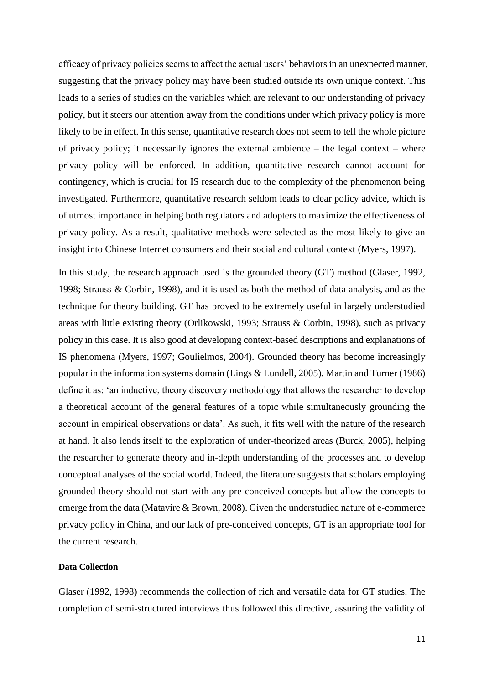efficacy of privacy policies seems to affect the actual users' behaviors in an unexpected manner, suggesting that the privacy policy may have been studied outside its own unique context. This leads to a series of studies on the variables which are relevant to our understanding of privacy policy, but it steers our attention away from the conditions under which privacy policy is more likely to be in effect. In this sense, quantitative research does not seem to tell the whole picture of privacy policy; it necessarily ignores the external ambience – the legal context – where privacy policy will be enforced. In addition, quantitative research cannot account for contingency, which is crucial for IS research due to the complexity of the phenomenon being investigated. Furthermore, quantitative research seldom leads to clear policy advice, which is of utmost importance in helping both regulators and adopters to maximize the effectiveness of privacy policy. As a result, qualitative methods were selected as the most likely to give an insight into Chinese Internet consumers and their social and cultural context (Myers, 1997).

In this study, the research approach used is the grounded theory (GT) method (Glaser, 1992, 1998; Strauss & Corbin, 1998), and it is used as both the method of data analysis, and as the technique for theory building. GT has proved to be extremely useful in largely understudied areas with little existing theory (Orlikowski, 1993; Strauss & Corbin, 1998), such as privacy policy in this case. It is also good at developing context-based descriptions and explanations of IS phenomena (Myers, 1997; Goulielmos, 2004). Grounded theory has become increasingly popular in the information systems domain (Lings & Lundell, 2005). Martin and Turner (1986) define it as: 'an inductive, theory discovery methodology that allows the researcher to develop a theoretical account of the general features of a topic while simultaneously grounding the account in empirical observations or data'. As such, it fits well with the nature of the research at hand. It also lends itself to the exploration of under-theorized areas (Burck, 2005), helping the researcher to generate theory and in-depth understanding of the processes and to develop conceptual analyses of the social world. Indeed, the literature suggests that scholars employing grounded theory should not start with any pre-conceived concepts but allow the concepts to emerge from the data (Matavire & Brown, 2008). Given the understudied nature of e-commerce privacy policy in China, and our lack of pre-conceived concepts, GT is an appropriate tool for the current research.

#### **Data Collection**

Glaser (1992, 1998) recommends the collection of rich and versatile data for GT studies. The completion of semi-structured interviews thus followed this directive, assuring the validity of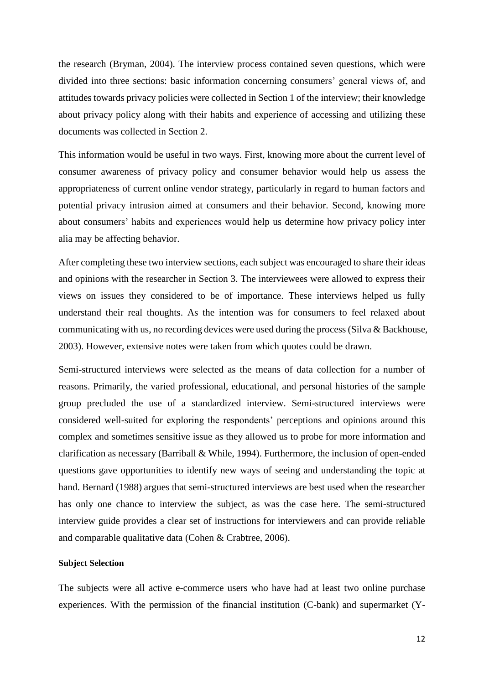the research (Bryman, 2004). The interview process contained seven questions, which were divided into three sections: basic information concerning consumers' general views of, and attitudes towards privacy policies were collected in Section 1 of the interview; their knowledge about privacy policy along with their habits and experience of accessing and utilizing these documents was collected in Section 2.

This information would be useful in two ways. First, knowing more about the current level of consumer awareness of privacy policy and consumer behavior would help us assess the appropriateness of current online vendor strategy, particularly in regard to human factors and potential privacy intrusion aimed at consumers and their behavior. Second, knowing more about consumers' habits and experiences would help us determine how privacy policy inter alia may be affecting behavior.

After completing these two interview sections, each subject was encouraged to share their ideas and opinions with the researcher in Section 3. The interviewees were allowed to express their views on issues they considered to be of importance. These interviews helped us fully understand their real thoughts. As the intention was for consumers to feel relaxed about communicating with us, no recording devices were used during the process (Silva & Backhouse, 2003). However, extensive notes were taken from which quotes could be drawn.

Semi-structured interviews were selected as the means of data collection for a number of reasons. Primarily, the varied professional, educational, and personal histories of the sample group precluded the use of a standardized interview. Semi-structured interviews were considered well-suited for exploring the respondents' perceptions and opinions around this complex and sometimes sensitive issue as they allowed us to probe for more information and clarification as necessary (Barriball & While, 1994). Furthermore, the inclusion of open-ended questions gave opportunities to identify new ways of seeing and understanding the topic at hand. Bernard (1988) argues that semi-structured interviews are best used when the researcher has only one chance to interview the subject, as was the case here. The semi-structured interview guide provides a clear set of instructions for interviewers and can provide reliable and comparable qualitative data (Cohen & Crabtree, 2006).

#### **Subject Selection**

The subjects were all active e-commerce users who have had at least two online purchase experiences. With the permission of the financial institution (C-bank) and supermarket (Y-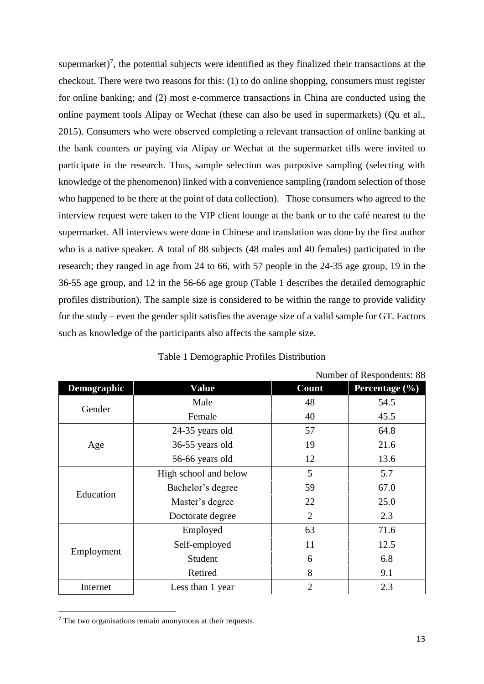supermarket)<sup>7</sup>, the potential subjects were identified as they finalized their transactions at the checkout. There were two reasons for this: (1) to do online shopping, consumers must register for online banking; and (2) most e-commerce transactions in China are conducted using the online payment tools Alipay or Wechat (these can also be used in supermarkets) (Qu et al., 2015). Consumers who were observed completing a relevant transaction of online banking at the bank counters or paying via Alipay or Wechat at the supermarket tills were invited to participate in the research. Thus, sample selection was purposive sampling (selecting with knowledge of the phenomenon) linked with a convenience sampling (random selection of those who happened to be there at the point of data collection). Those consumers who agreed to the interview request were taken to the VIP client lounge at the bank or to the café nearest to the supermarket. All interviews were done in Chinese and translation was done by the first author who is a native speaker. A total of 88 subjects (48 males and 40 females) participated in the research; they ranged in age from 24 to 66, with 57 people in the 24-35 age group, 19 in the 36-55 age group, and 12 in the 56-66 age group (Table 1 describes the detailed demographic profiles distribution). The sample size is considered to be within the range to provide validity for the study – even the gender split satisfies the average size of a valid sample for GT. Factors such as knowledge of the participants also affects the sample size.

|             | Number of Respondents: 88 |                |                |
|-------------|---------------------------|----------------|----------------|
| Demographic | <b>Value</b>              | Count          | Percentage (%) |
| Gender      | Male<br>48                |                | 54.5           |
|             | Female                    | 40             | 45.5           |
| Age         | 24-35 years old           | 57             | 64.8           |
|             | 36-55 years old           | 19             | 21.6           |
|             | 56-66 years old           | 12             | 13.6           |
| Education   | High school and below     | 5              | 5.7            |
|             | Bachelor's degree         | 59             | 67.0           |
|             | Master's degree           | 22             | 25.0           |
|             | Doctorate degree          | $\overline{2}$ | 2.3            |
| Employment  | Employed                  | 63             | 71.6           |
|             | Self-employed             | 11             | 12.5           |
|             | Student                   | 6              | 6.8            |
|             | Retired                   | 8              | 9.1            |
| Internet    | Less than 1 year          | $\overline{2}$ | 2.3            |

Table 1 Demographic Profiles Distribution

**.** 

<sup>7</sup> The two organisations remain anonymous at their requests.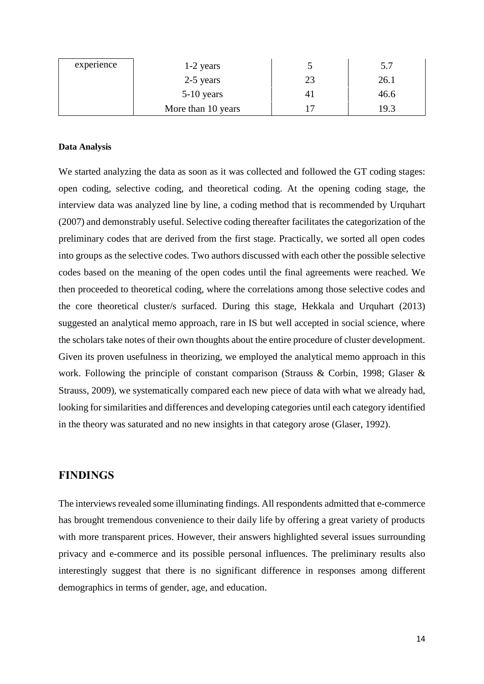| experience | $1-2$ years        |    | 5.7  |
|------------|--------------------|----|------|
|            | 2-5 years          | 23 | 26.1 |
|            | $5-10$ years       |    | 46.6 |
|            | More than 10 years |    | 19.3 |

#### **Data Analysis**

We started analyzing the data as soon as it was collected and followed the GT coding stages: open coding, selective coding, and theoretical coding. At the opening coding stage, the interview data was analyzed line by line, a coding method that is recommended by Urquhart (2007) and demonstrably useful. Selective coding thereafter facilitates the categorization of the preliminary codes that are derived from the first stage. Practically, we sorted all open codes into groups as the selective codes. Two authors discussed with each other the possible selective codes based on the meaning of the open codes until the final agreements were reached. We then proceeded to theoretical coding, where the correlations among those selective codes and the core theoretical cluster/s surfaced. During this stage, Hekkala and Urquhart (2013) suggested an analytical memo approach, rare in IS but well accepted in social science, where the scholars take notes of their own thoughts about the entire procedure of cluster development. Given its proven usefulness in theorizing, we employed the analytical memo approach in this work. Following the principle of constant comparison (Strauss & Corbin, 1998; Glaser & Strauss, 2009), we systematically compared each new piece of data with what we already had, looking for similarities and differences and developing categories until each category identified in the theory was saturated and no new insights in that category arose (Glaser, 1992).

## **FINDINGS**

The interviews revealed some illuminating findings. All respondents admitted that e-commerce has brought tremendous convenience to their daily life by offering a great variety of products with more transparent prices. However, their answers highlighted several issues surrounding privacy and e-commerce and its possible personal influences. The preliminary results also interestingly suggest that there is no significant difference in responses among different demographics in terms of gender, age, and education.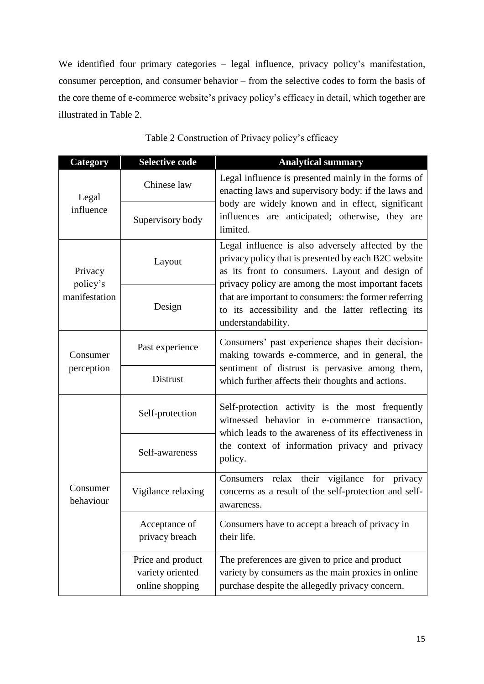We identified four primary categories – legal influence, privacy policy's manifestation, consumer perception, and consumer behavior – from the selective codes to form the basis of the core theme of e-commerce website's privacy policy's efficacy in detail, which together are illustrated in Table 2.

| Category                             | <b>Selective code</b>                                    | <b>Analytical summary</b>                                                                                                                                                                                                                                                                                                                               |  |
|--------------------------------------|----------------------------------------------------------|---------------------------------------------------------------------------------------------------------------------------------------------------------------------------------------------------------------------------------------------------------------------------------------------------------------------------------------------------------|--|
| Legal<br>influence                   | Chinese law                                              | Legal influence is presented mainly in the forms of<br>enacting laws and supervisory body: if the laws and<br>body are widely known and in effect, significant<br>influences are anticipated; otherwise, they are<br>limited.                                                                                                                           |  |
|                                      | Supervisory body                                         |                                                                                                                                                                                                                                                                                                                                                         |  |
| Privacy<br>policy's<br>manifestation | Layout                                                   | Legal influence is also adversely affected by the<br>privacy policy that is presented by each B2C website<br>as its front to consumers. Layout and design of<br>privacy policy are among the most important facets<br>that are important to consumers: the former referring<br>to its accessibility and the latter reflecting its<br>understandability. |  |
|                                      | Design                                                   |                                                                                                                                                                                                                                                                                                                                                         |  |
| Consumer<br>perception               | Past experience                                          | Consumers' past experience shapes their decision-<br>making towards e-commerce, and in general, the<br>sentiment of distrust is pervasive among them,<br>which further affects their thoughts and actions.                                                                                                                                              |  |
|                                      | Distrust                                                 |                                                                                                                                                                                                                                                                                                                                                         |  |
| Consumer<br>behaviour                | Self-protection                                          | Self-protection activity is the most frequently<br>witnessed behavior in e-commerce transaction,<br>which leads to the awareness of its effectiveness in<br>the context of information privacy and privacy<br>policy.                                                                                                                                   |  |
|                                      | Self-awareness                                           |                                                                                                                                                                                                                                                                                                                                                         |  |
|                                      | Vigilance relaxing                                       | Consumers relax their vigilance for privacy<br>concerns as a result of the self-protection and self-<br>awareness.                                                                                                                                                                                                                                      |  |
|                                      | Acceptance of<br>privacy breach                          | Consumers have to accept a breach of privacy in<br>their life.                                                                                                                                                                                                                                                                                          |  |
|                                      | Price and product<br>variety oriented<br>online shopping | The preferences are given to price and product<br>variety by consumers as the main proxies in online<br>purchase despite the allegedly privacy concern.                                                                                                                                                                                                 |  |

Table 2 Construction of Privacy policy's efficacy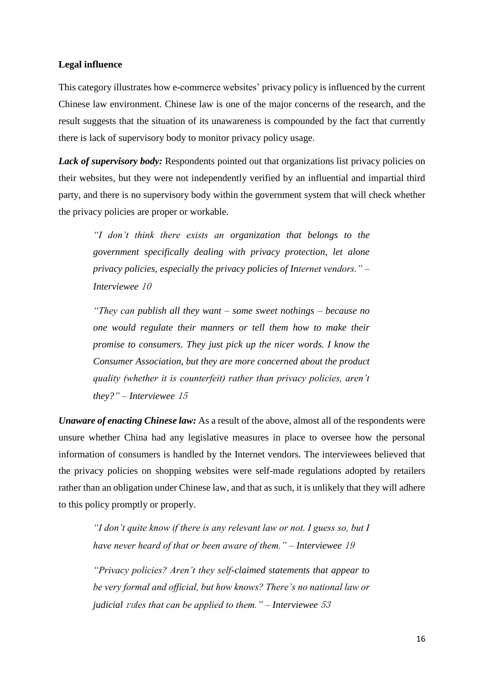#### **Legal influence**

This category illustrates how e-commerce websites' privacy policy is influenced by the current Chinese law environment. Chinese law is one of the major concerns of the research, and the result suggests that the situation of its unawareness is compounded by the fact that currently there is lack of supervisory body to monitor privacy policy usage.

Lack of supervisory body: Respondents pointed out that organizations list privacy policies on their websites, but they were not independently verified by an influential and impartial third party, and there is no supervisory body within the government system that will check whether the privacy policies are proper or workable.

*"I don't think there exists an organization that belongs to the government specifically dealing with privacy protection, let alone privacy policies, especially the privacy policies of Internet vendors." – Interviewee* <sup>10</sup>

*"They can publish all they want – some sweet nothings – because no one would regulate their manners or tell them how to make their promise to consumers. They just pick up the nicer words. I know the Consumer Association, but they are more concerned about the product quality (whether it is counterfeit) rather than privacy policies, aren't they?" – Interviewee* <sup>15</sup>

*Unaware of enacting Chinese law:* As a result of the above, almost all of the respondents were unsure whether China had any legislative measures in place to oversee how the personal information of consumers is handled by the Internet vendors. The interviewees believed that the privacy policies on shopping websites were self-made regulations adopted by retailers rather than an obligation under Chinese law, and that as such, it is unlikely that they will adhere to this policy promptly or properly.

*"I don't quite know if there is any relevant law or not. I guess so, but I have never heard of that or been aware of them." – Interviewee* <sup>19</sup>

*"Privacy policies? Aren't they self-claimed statements that appear to be very formal and official, but how knows? There's no national law or judicial* ru*les that can be applied to them." – Interviewee* <sup>53</sup>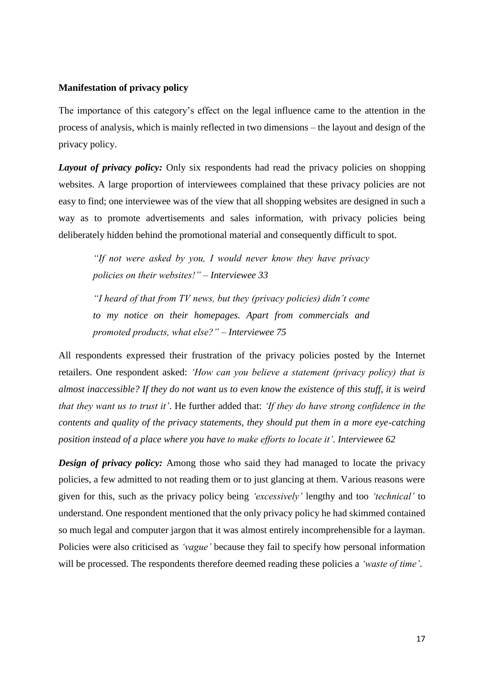#### **Manifestation of privacy policy**

The importance of this category's effect on the legal influence came to the attention in the process of analysis, which is mainly reflected in two dimensions – the layout and design of the privacy policy.

*Layout of privacy policy:* Only six respondents had read the privacy policies on shopping websites. A large proportion of interviewees complained that these privacy policies are not easy to find; one interviewee was of the view that all shopping websites are designed in such a way as to promote advertisements and sales information, with privacy policies being deliberately hidden behind the promotional material and consequently difficult to spot.

*"If not were asked by you, I would never know they have privacy policies on their websites!" – Interviewee 33*

*"I heard of that from TV news, but they (privacy policies) didn't come to my notice on their homepages. Apart from commercials and promoted products, what else?" – Interviewee 75*

All respondents expressed their frustration of the privacy policies posted by the Internet retailers. One respondent asked: *'How can you believe a statement (privacy policy) that is almost inaccessible? If they do not want us to even know the existence of this stuff, it is weird that they want us to trust it'*. He further added that: *'If they do have strong confidence in the contents and quality of the privacy statements, they should put them in a more eye-catching position instead of a place where you have to make efforts to locate it'*. *Interviewee 62*

*Design of privacy policy:* Among those who said they had managed to locate the privacy policies, a few admitted to not reading them or to just glancing at them. Various reasons were given for this, such as the privacy policy being *'excessively'* lengthy and too *'technical'* to understand. One respondent mentioned that the only privacy policy he had skimmed contained so much legal and computer jargon that it was almost entirely incomprehensible for a layman. Policies were also criticised as *'vague'* because they fail to specify how personal information will be processed. The respondents therefore deemed reading these policies a *'waste of time'*.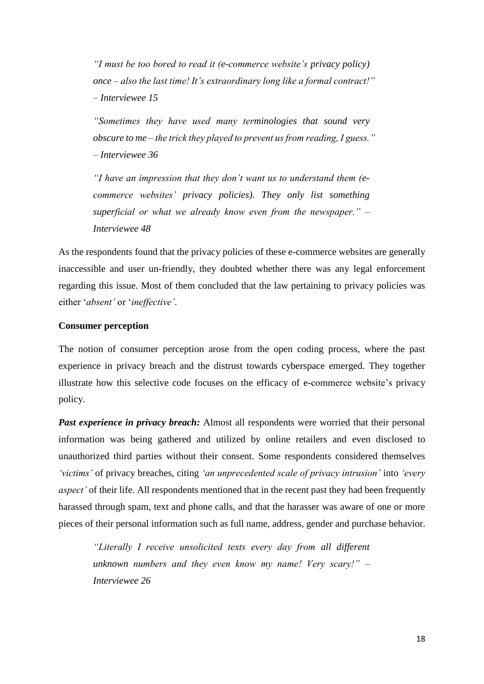*"I must be too bored to read it (e-commerce website's privacy policy) once – also the last time! It's extraordinary long like a formal contract!" – Interviewee 15*

*"Sometimes they have used many terminologies that sound very obscure to me – the trick they played to prevent us from reading, I guess." – Interviewee 36*

*"I have an impression that they don't want us to understand them (ecommerce websites' privacy policies). They only list something superficial or what we already know even from the newspaper." – Interviewee 48*

As the respondents found that the privacy policies of these e-commerce websites are generally inaccessible and user un-friendly, they doubted whether there was any legal enforcement regarding this issue. Most of them concluded that the law pertaining to privacy policies was either '*absent'* or '*ineffective'*.

#### **Consumer perception**

The notion of consumer perception arose from the open coding process, where the past experience in privacy breach and the distrust towards cyberspace emerged. They together illustrate how this selective code focuses on the efficacy of e-commerce website's privacy policy.

*Past experience in privacy breach:* Almost all respondents were worried that their personal information was being gathered and utilized by online retailers and even disclosed to unauthorized third parties without their consent. Some respondents considered themselves *'victims'* of privacy breaches, citing *'an unprecedented scale of privacy intrusion'* into *'every aspect'* of their life. All respondents mentioned that in the recent past they had been frequently harassed through spam, text and phone calls, and that the harasser was aware of one or more pieces of their personal information such as full name, address, gender and purchase behavior.

*"Literally I receive unsolicited texts every day from all different unknown numbers and they even know my name! Very scary!" – Interviewee 26*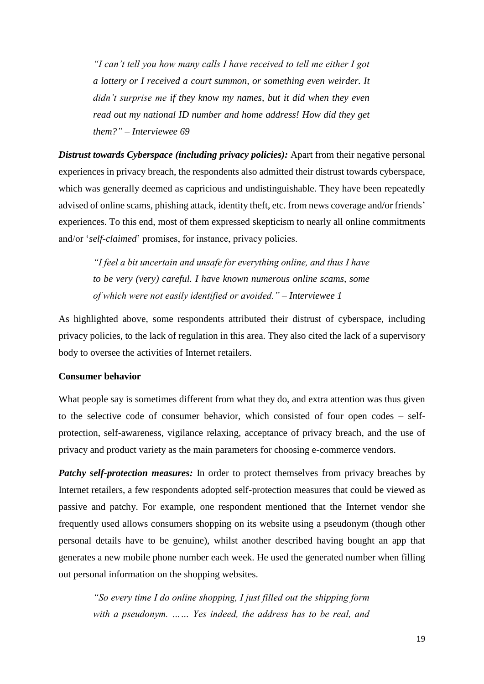*"I can't tell you how many calls I have received to tell me either I got a lottery or I received a court summon, or something even weirder. It didn't surprise me if they know my names, but it did when they even read out my national ID number and home address! How did they get them?" – Interviewee 69*

*Distrust towards Cyberspace (including privacy policies):* Apart from their negative personal experiences in privacy breach, the respondents also admitted their distrust towards cyberspace, which was generally deemed as capricious and undistinguishable. They have been repeatedly advised of online scams, phishing attack, identity theft, etc. from news coverage and/or friends' experiences. To this end, most of them expressed skepticism to nearly all online commitments and/or '*self-claimed*' promises, for instance, privacy policies.

*"I feel a bit uncertain and unsafe for everything online, and thus I have to be very (very) careful. I have known numerous online scams, some of which were not easily identified or avoided." – Interviewee 1*

As highlighted above, some respondents attributed their distrust of cyberspace, including privacy policies, to the lack of regulation in this area. They also cited the lack of a supervisory body to oversee the activities of Internet retailers.

#### **Consumer behavior**

What people say is sometimes different from what they do, and extra attention was thus given to the selective code of consumer behavior, which consisted of four open codes – selfprotection, self-awareness, vigilance relaxing, acceptance of privacy breach, and the use of privacy and product variety as the main parameters for choosing e-commerce vendors.

*Patchy self-protection measures:* In order to protect themselves from privacy breaches by Internet retailers, a few respondents adopted self-protection measures that could be viewed as passive and patchy. For example, one respondent mentioned that the Internet vendor she frequently used allows consumers shopping on its website using a pseudonym (though other personal details have to be genuine), whilst another described having bought an app that generates a new mobile phone number each week. He used the generated number when filling out personal information on the shopping websites.

*"So every time I do online shopping, I just filled out the shipping form with a pseudonym. …… Yes indeed, the address has to be real, and*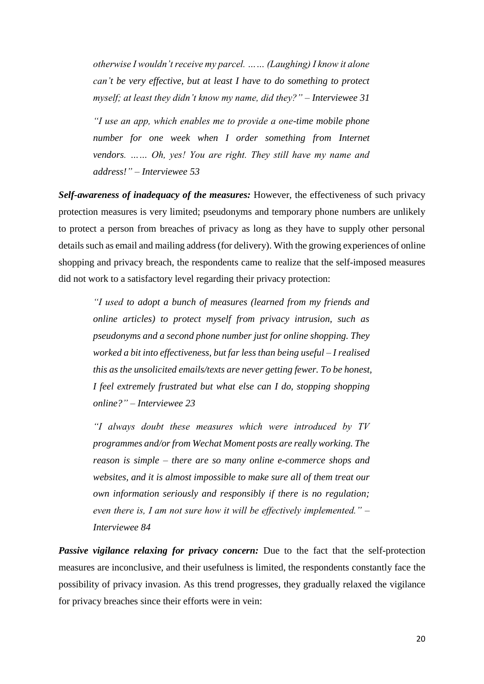*otherwise I wouldn't receive my parcel. …… (Laughing) I know it alone can't be very effective, but at least I have to do something to protect myself; at least they didn't know my name, did they?" – Interviewee 31*

*"I use an app, which enables me to provide a one-time mobile phone number for one week when I order something from Internet vendors. …… Oh, yes! You are right. They still have my name and address!" – Interviewee 53*

*Self-awareness of inadequacy of the measures:* However, the effectiveness of such privacy protection measures is very limited; pseudonyms and temporary phone numbers are unlikely to protect a person from breaches of privacy as long as they have to supply other personal details such as email and mailing address (for delivery). With the growing experiences of online shopping and privacy breach, the respondents came to realize that the self-imposed measures did not work to a satisfactory level regarding their privacy protection:

*"I used to adopt a bunch of measures (learned from my friends and online articles) to protect myself from privacy intrusion, such as pseudonyms and a second phone number just for online shopping. They worked a bit into effectiveness, but far less than being useful – I realised this as the unsolicited emails/texts are never getting fewer. To be honest, I feel extremely frustrated but what else can I do, stopping shopping online?" – Interviewee 23*

*"I always doubt these measures which were introduced by TV programmes and/or from Wechat Moment posts are really working. The reason is simple – there are so many online e-commerce shops and websites, and it is almost impossible to make sure all of them treat our own information seriously and responsibly if there is no regulation; even there is, I am not sure how it will be effectively implemented." – Interviewee 84*

*Passive vigilance relaxing for privacy concern:* Due to the fact that the self-protection measures are inconclusive, and their usefulness is limited, the respondents constantly face the possibility of privacy invasion. As this trend progresses, they gradually relaxed the vigilance for privacy breaches since their efforts were in vein: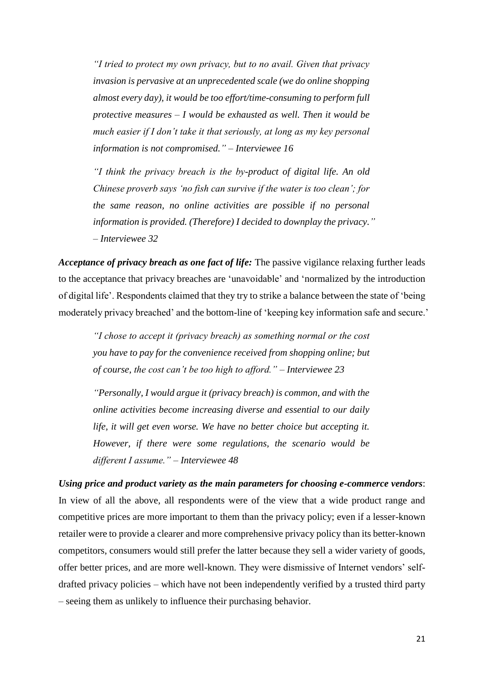*"I tried to protect my own privacy, but to no avail. Given that privacy invasion is pervasive at an unprecedented scale (we do online shopping almost every day), it would be too effort/time-consuming to perform full protective measures – I would be exhausted as well. Then it would be much easier if I don't take it that seriously, at long as my key personal information is not compromised." – Interviewee 16*

*"I think the privacy breach is the by-product of digital life. An old Chinese proverb says 'no fish can survive if the water is too clean'; for the same reason, no online activities are possible if no personal information is provided. (Therefore) I decided to downplay the privacy." – Interviewee 32*

*Acceptance of privacy breach as one fact of life:* The passive vigilance relaxing further leads to the acceptance that privacy breaches are 'unavoidable' and 'normalized by the introduction of digital life'. Respondents claimed that they try to strike a balance between the state of 'being moderately privacy breached' and the bottom-line of 'keeping key information safe and secure.'

*"I chose to accept it (privacy breach) as something normal or the cost you have to pay for the convenience received from shopping online; but of course, the cost can't be too high to afford." – Interviewee 23*

*"Personally, I would argue it (privacy breach) is common, and with the online activities become increasing diverse and essential to our daily life, it will get even worse. We have no better choice but accepting it. However, if there were some regulations, the scenario would be different I assume." – Interviewee 48*

*Using price and product variety as the main parameters for choosing e-commerce vendors*: In view of all the above, all respondents were of the view that a wide product range and competitive prices are more important to them than the privacy policy; even if a lesser-known retailer were to provide a clearer and more comprehensive privacy policy than its better-known competitors, consumers would still prefer the latter because they sell a wider variety of goods, offer better prices, and are more well-known. They were dismissive of Internet vendors' selfdrafted privacy policies – which have not been independently verified by a trusted third party – seeing them as unlikely to influence their purchasing behavior.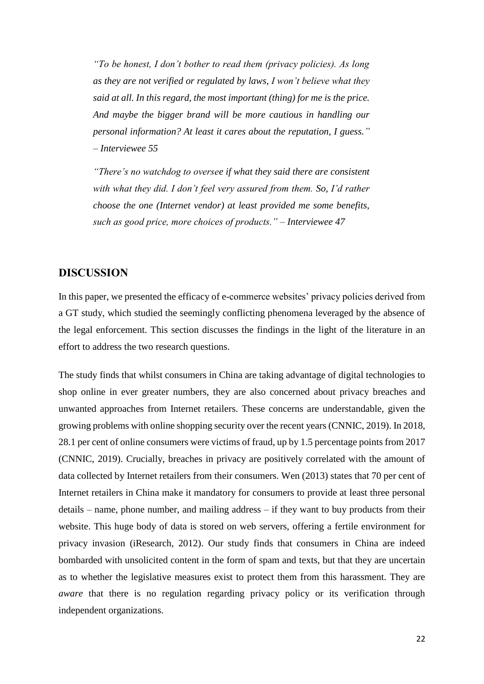*"To be honest, I don't bother to read them (privacy policies). As long as they are not verified or regulated by laws, I won't believe what they said at all. In this regard, the most important (thing) for me is the price. And maybe the bigger brand will be more cautious in handling our personal information? At least it cares about the reputation, I guess." – Interviewee 55*

*"There's no watchdog to oversee if what they said there are consistent with what they did. I don't feel very assured from them. So, I'd rather choose the one (Internet vendor) at least provided me some benefits, such as good price, more choices of products." – Interviewee 47*

## **DISCUSSION**

In this paper, we presented the efficacy of e-commerce websites' privacy policies derived from a GT study, which studied the seemingly conflicting phenomena leveraged by the absence of the legal enforcement. This section discusses the findings in the light of the literature in an effort to address the two research questions.

The study finds that whilst consumers in China are taking advantage of digital technologies to shop online in ever greater numbers, they are also concerned about privacy breaches and unwanted approaches from Internet retailers. These concerns are understandable, given the growing problems with online shopping security over the recent years (CNNIC, 2019). In 2018, 28.1 per cent of online consumers were victims of fraud, up by 1.5 percentage points from 2017 (CNNIC, 2019). Crucially, breaches in privacy are positively correlated with the amount of data collected by Internet retailers from their consumers. Wen (2013) states that 70 per cent of Internet retailers in China make it mandatory for consumers to provide at least three personal details – name, phone number, and mailing address – if they want to buy products from their website. This huge body of data is stored on web servers, offering a fertile environment for privacy invasion (iResearch, 2012). Our study finds that consumers in China are indeed bombarded with unsolicited content in the form of spam and texts, but that they are uncertain as to whether the legislative measures exist to protect them from this harassment. They are *aware* that there is no regulation regarding privacy policy or its verification through independent organizations.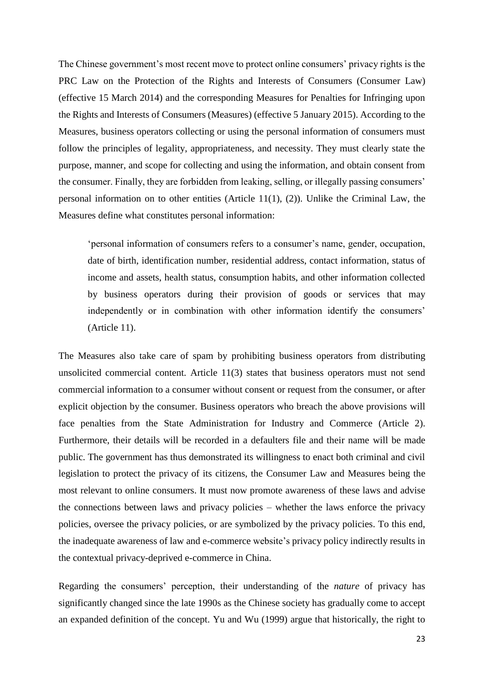The Chinese government's most recent move to protect online consumers' privacy rights is the PRC Law on the Protection of the Rights and Interests of Consumers (Consumer Law) (effective 15 March 2014) and the corresponding Measures for Penalties for Infringing upon the Rights and Interests of Consumers (Measures) (effective 5 January 2015). According to the Measures, business operators collecting or using the personal information of consumers must follow the principles of legality, appropriateness, and necessity. They must clearly state the purpose, manner, and scope for collecting and using the information, and obtain consent from the consumer. Finally, they are forbidden from leaking, selling, or illegally passing consumers' personal information on to other entities (Article 11(1), (2)). Unlike the Criminal Law, the Measures define what constitutes personal information:

'personal information of consumers refers to a consumer's name, gender, occupation, date of birth, identification number, residential address, contact information, status of income and assets, health status, consumption habits, and other information collected by business operators during their provision of goods or services that may independently or in combination with other information identify the consumers' (Article 11).

The Measures also take care of spam by prohibiting business operators from distributing unsolicited commercial content. Article 11(3) states that business operators must not send commercial information to a consumer without consent or request from the consumer, or after explicit objection by the consumer. Business operators who breach the above provisions will face penalties from the State Administration for Industry and Commerce (Article 2). Furthermore, their details will be recorded in a defaulters file and their name will be made public. The government has thus demonstrated its willingness to enact both criminal and civil legislation to protect the privacy of its citizens, the Consumer Law and Measures being the most relevant to online consumers. It must now promote awareness of these laws and advise the connections between laws and privacy policies – whether the laws enforce the privacy policies, oversee the privacy policies, or are symbolized by the privacy policies. To this end, the inadequate awareness of law and e-commerce website's privacy policy indirectly results in the contextual privacy-deprived e-commerce in China.

Regarding the consumers' perception, their understanding of the *nature* of privacy has significantly changed since the late 1990s as the Chinese society has gradually come to accept an expanded definition of the concept. Yu and Wu (1999) argue that historically, the right to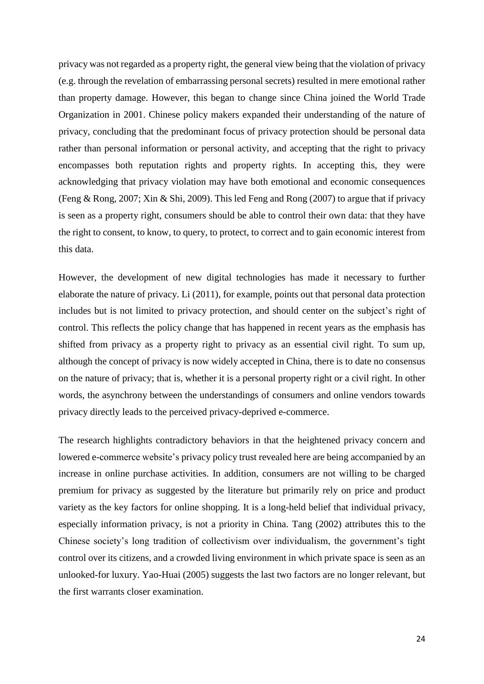privacy was not regarded as a property right, the general view being that the violation of privacy (e.g. through the revelation of embarrassing personal secrets) resulted in mere emotional rather than property damage. However, this began to change since China joined the World Trade Organization in 2001. Chinese policy makers expanded their understanding of the nature of privacy, concluding that the predominant focus of privacy protection should be personal data rather than personal information or personal activity, and accepting that the right to privacy encompasses both reputation rights and property rights. In accepting this, they were acknowledging that privacy violation may have both emotional and economic consequences (Feng & Rong, 2007; Xin & Shi, 2009). This led Feng and Rong (2007) to argue that if privacy is seen as a property right, consumers should be able to control their own data: that they have the right to consent, to know, to query, to protect, to correct and to gain economic interest from this data.

However, the development of new digital technologies has made it necessary to further elaborate the nature of privacy. Li (2011), for example, points out that personal data protection includes but is not limited to privacy protection, and should center on the subject's right of control. This reflects the policy change that has happened in recent years as the emphasis has shifted from privacy as a property right to privacy as an essential civil right. To sum up, although the concept of privacy is now widely accepted in China, there is to date no consensus on the nature of privacy; that is, whether it is a personal property right or a civil right. In other words, the asynchrony between the understandings of consumers and online vendors towards privacy directly leads to the perceived privacy-deprived e-commerce.

The research highlights contradictory behaviors in that the heightened privacy concern and lowered e-commerce website's privacy policy trust revealed here are being accompanied by an increase in online purchase activities. In addition, consumers are not willing to be charged premium for privacy as suggested by the literature but primarily rely on price and product variety as the key factors for online shopping. It is a long-held belief that individual privacy, especially information privacy, is not a priority in China. Tang (2002) attributes this to the Chinese society's long tradition of collectivism over individualism, the government's tight control over its citizens, and a crowded living environment in which private space is seen as an unlooked-for luxury. Yao-Huai (2005) suggests the last two factors are no longer relevant, but the first warrants closer examination.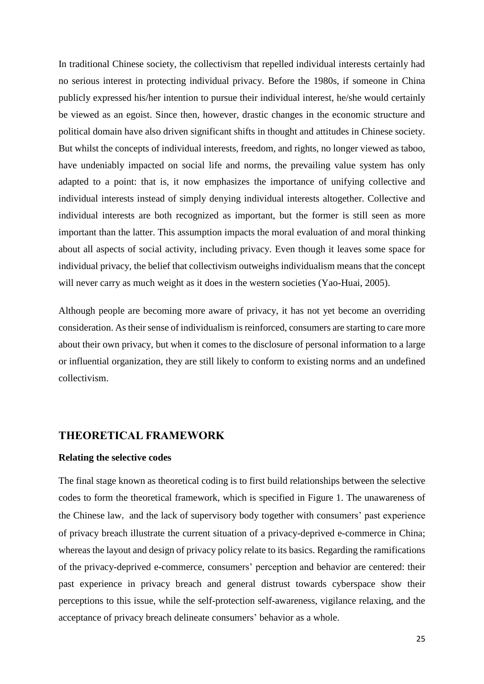In traditional Chinese society, the collectivism that repelled individual interests certainly had no serious interest in protecting individual privacy. Before the 1980s, if someone in China publicly expressed his/her intention to pursue their individual interest, he/she would certainly be viewed as an egoist. Since then, however, drastic changes in the economic structure and political domain have also driven significant shifts in thought and attitudes in Chinese society. But whilst the concepts of individual interests, freedom, and rights, no longer viewed as taboo, have undeniably impacted on social life and norms, the prevailing value system has only adapted to a point: that is, it now emphasizes the importance of unifying collective and individual interests instead of simply denying individual interests altogether. Collective and individual interests are both recognized as important, but the former is still seen as more important than the latter. This assumption impacts the moral evaluation of and moral thinking about all aspects of social activity, including privacy. Even though it leaves some space for individual privacy, the belief that collectivism outweighs individualism means that the concept will never carry as much weight as it does in the western societies (Yao-Huai, 2005).

Although people are becoming more aware of privacy, it has not yet become an overriding consideration. As their sense of individualism is reinforced, consumers are starting to care more about their own privacy, but when it comes to the disclosure of personal information to a large or influential organization, they are still likely to conform to existing norms and an undefined collectivism.

## **THEORETICAL FRAMEWORK**

#### **Relating the selective codes**

The final stage known as theoretical coding is to first build relationships between the selective codes to form the theoretical framework, which is specified in Figure 1. The unawareness of the Chinese law, and the lack of supervisory body together with consumers' past experience of privacy breach illustrate the current situation of a privacy-deprived e-commerce in China; whereas the layout and design of privacy policy relate to its basics. Regarding the ramifications of the privacy-deprived e-commerce, consumers' perception and behavior are centered: their past experience in privacy breach and general distrust towards cyberspace show their perceptions to this issue, while the self-protection self-awareness, vigilance relaxing, and the acceptance of privacy breach delineate consumers' behavior as a whole.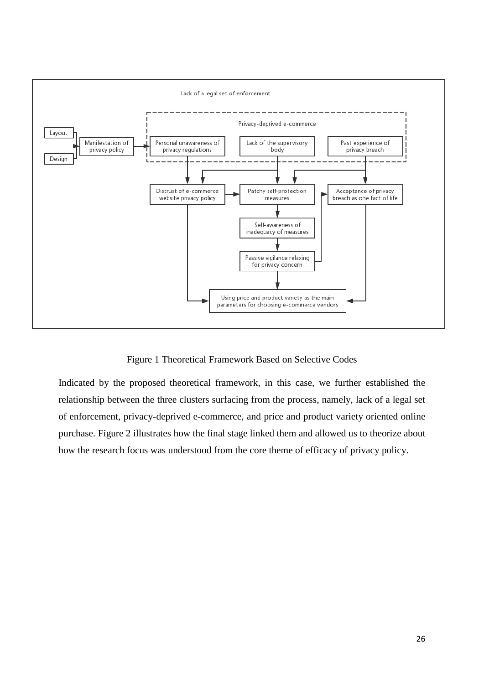

Figure 1 Theoretical Framework Based on Selective Codes

Indicated by the proposed theoretical framework, in this case, we further established the relationship between the three clusters surfacing from the process, namely, lack of a legal set of enforcement, privacy-deprived e-commerce, and price and product variety oriented online purchase. Figure 2 illustrates how the final stage linked them and allowed us to theorize about how the research focus was understood from the core theme of efficacy of privacy policy.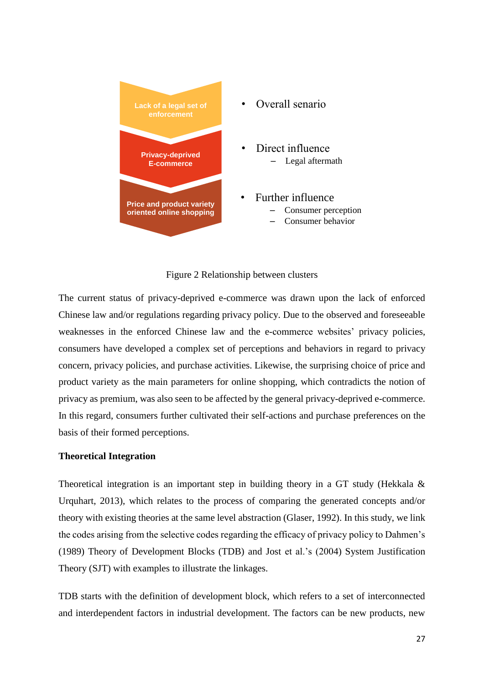

Figure 2 Relationship between clusters

The current status of privacy-deprived e-commerce was drawn upon the lack of enforced Chinese law and/or regulations regarding privacy policy. Due to the observed and foreseeable weaknesses in the enforced Chinese law and the e-commerce websites' privacy policies, consumers have developed a complex set of perceptions and behaviors in regard to privacy concern, privacy policies, and purchase activities. Likewise, the surprising choice of price and product variety as the main parameters for online shopping, which contradicts the notion of privacy as premium, was also seen to be affected by the general privacy-deprived e-commerce. In this regard, consumers further cultivated their self-actions and purchase preferences on the basis of their formed perceptions.

#### **Theoretical Integration**

Theoretical integration is an important step in building theory in a GT study (Hekkala & Urquhart, 2013), which relates to the process of comparing the generated concepts and/or theory with existing theories at the same level abstraction (Glaser, 1992). In this study, we link the codes arising from the selective codes regarding the efficacy of privacy policy to Dahmen's (1989) Theory of Development Blocks (TDB) and Jost et al.'s (2004) System Justification Theory (SJT) with examples to illustrate the linkages.

TDB starts with the definition of development block, which refers to a set of interconnected and interdependent factors in industrial development. The factors can be new products, new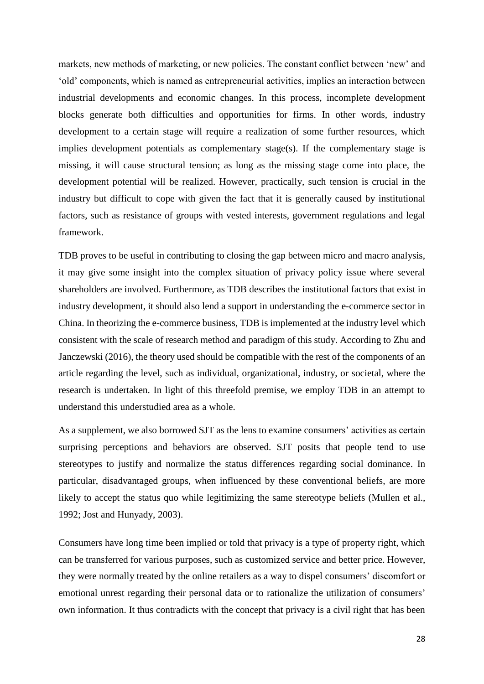markets, new methods of marketing, or new policies. The constant conflict between 'new' and 'old' components, which is named as entrepreneurial activities, implies an interaction between industrial developments and economic changes. In this process, incomplete development blocks generate both difficulties and opportunities for firms. In other words, industry development to a certain stage will require a realization of some further resources, which implies development potentials as complementary stage(s). If the complementary stage is missing, it will cause structural tension; as long as the missing stage come into place, the development potential will be realized. However, practically, such tension is crucial in the industry but difficult to cope with given the fact that it is generally caused by institutional factors, such as resistance of groups with vested interests, government regulations and legal framework.

TDB proves to be useful in contributing to closing the gap between micro and macro analysis, it may give some insight into the complex situation of privacy policy issue where several shareholders are involved. Furthermore, as TDB describes the institutional factors that exist in industry development, it should also lend a support in understanding the e-commerce sector in China. In theorizing the e-commerce business, TDB is implemented at the industry level which consistent with the scale of research method and paradigm of this study. According to Zhu and Janczewski (2016), the theory used should be compatible with the rest of the components of an article regarding the level, such as individual, organizational, industry, or societal, where the research is undertaken. In light of this threefold premise, we employ TDB in an attempt to understand this understudied area as a whole.

As a supplement, we also borrowed SJT as the lens to examine consumers' activities as certain surprising perceptions and behaviors are observed. SJT posits that people tend to use stereotypes to justify and normalize the status differences regarding social dominance. In particular, disadvantaged groups, when influenced by these conventional beliefs, are more likely to accept the status quo while legitimizing the same stereotype beliefs (Mullen et al., 1992; Jost and Hunyady, 2003).

Consumers have long time been implied or told that privacy is a type of property right, which can be transferred for various purposes, such as customized service and better price. However, they were normally treated by the online retailers as a way to dispel consumers' discomfort or emotional unrest regarding their personal data or to rationalize the utilization of consumers' own information. It thus contradicts with the concept that privacy is a civil right that has been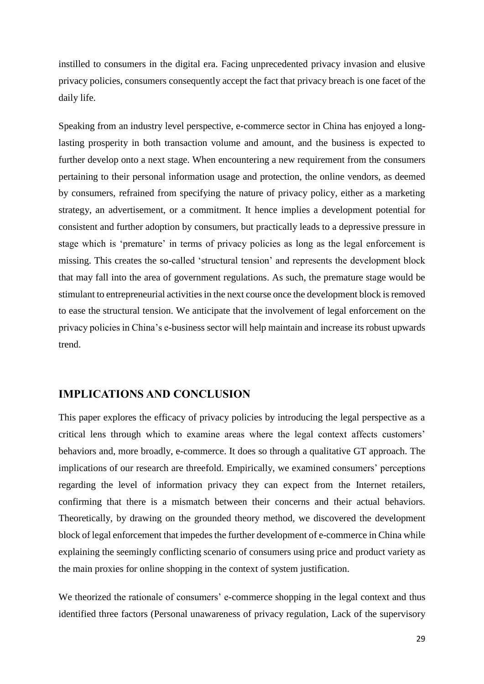instilled to consumers in the digital era. Facing unprecedented privacy invasion and elusive privacy policies, consumers consequently accept the fact that privacy breach is one facet of the daily life.

Speaking from an industry level perspective, e-commerce sector in China has enjoyed a longlasting prosperity in both transaction volume and amount, and the business is expected to further develop onto a next stage. When encountering a new requirement from the consumers pertaining to their personal information usage and protection, the online vendors, as deemed by consumers, refrained from specifying the nature of privacy policy, either as a marketing strategy, an advertisement, or a commitment. It hence implies a development potential for consistent and further adoption by consumers, but practically leads to a depressive pressure in stage which is 'premature' in terms of privacy policies as long as the legal enforcement is missing. This creates the so-called 'structural tension' and represents the development block that may fall into the area of government regulations. As such, the premature stage would be stimulant to entrepreneurial activities in the next course once the development block is removed to ease the structural tension. We anticipate that the involvement of legal enforcement on the privacy policies in China's e-business sector will help maintain and increase its robust upwards trend.

## **IMPLICATIONS AND CONCLUSION**

This paper explores the efficacy of privacy policies by introducing the legal perspective as a critical lens through which to examine areas where the legal context affects customers' behaviors and, more broadly, e-commerce. It does so through a qualitative GT approach. The implications of our research are threefold. Empirically, we examined consumers' perceptions regarding the level of information privacy they can expect from the Internet retailers, confirming that there is a mismatch between their concerns and their actual behaviors. Theoretically, by drawing on the grounded theory method, we discovered the development block of legal enforcement that impedes the further development of e-commerce in China while explaining the seemingly conflicting scenario of consumers using price and product variety as the main proxies for online shopping in the context of system justification.

We theorized the rationale of consumers' e-commerce shopping in the legal context and thus identified three factors (Personal unawareness of privacy regulation, Lack of the supervisory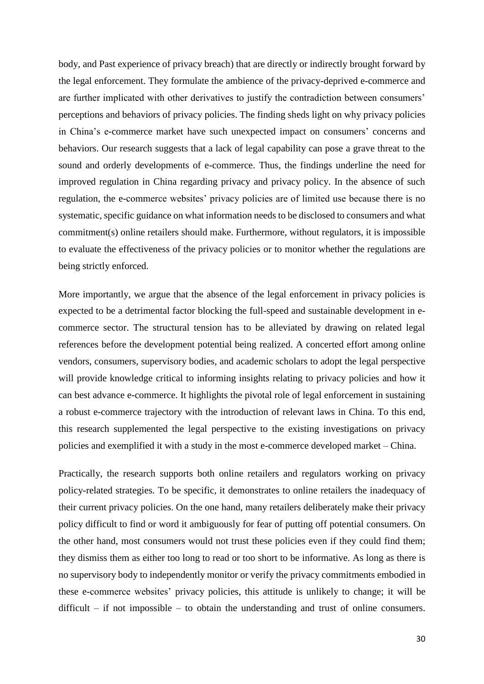body, and Past experience of privacy breach) that are directly or indirectly brought forward by the legal enforcement. They formulate the ambience of the privacy-deprived e-commerce and are further implicated with other derivatives to justify the contradiction between consumers' perceptions and behaviors of privacy policies. The finding sheds light on why privacy policies in China's e-commerce market have such unexpected impact on consumers' concerns and behaviors. Our research suggests that a lack of legal capability can pose a grave threat to the sound and orderly developments of e-commerce. Thus, the findings underline the need for improved regulation in China regarding privacy and privacy policy. In the absence of such regulation, the e-commerce websites' privacy policies are of limited use because there is no systematic, specific guidance on what information needs to be disclosed to consumers and what commitment(s) online retailers should make. Furthermore, without regulators, it is impossible to evaluate the effectiveness of the privacy policies or to monitor whether the regulations are being strictly enforced.

More importantly, we argue that the absence of the legal enforcement in privacy policies is expected to be a detrimental factor blocking the full-speed and sustainable development in ecommerce sector. The structural tension has to be alleviated by drawing on related legal references before the development potential being realized. A concerted effort among online vendors, consumers, supervisory bodies, and academic scholars to adopt the legal perspective will provide knowledge critical to informing insights relating to privacy policies and how it can best advance e-commerce. It highlights the pivotal role of legal enforcement in sustaining a robust e-commerce trajectory with the introduction of relevant laws in China. To this end, this research supplemented the legal perspective to the existing investigations on privacy policies and exemplified it with a study in the most e-commerce developed market – China.

Practically, the research supports both online retailers and regulators working on privacy policy-related strategies. To be specific, it demonstrates to online retailers the inadequacy of their current privacy policies. On the one hand, many retailers deliberately make their privacy policy difficult to find or word it ambiguously for fear of putting off potential consumers. On the other hand, most consumers would not trust these policies even if they could find them; they dismiss them as either too long to read or too short to be informative. As long as there is no supervisory body to independently monitor or verify the privacy commitments embodied in these e-commerce websites' privacy policies, this attitude is unlikely to change; it will be difficult – if not impossible – to obtain the understanding and trust of online consumers.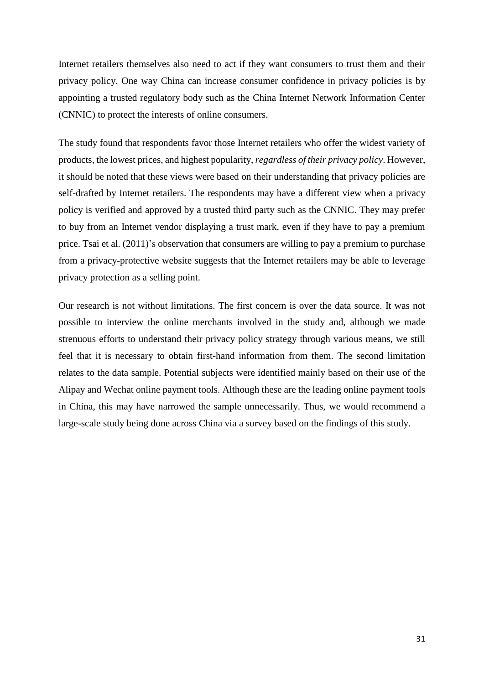Internet retailers themselves also need to act if they want consumers to trust them and their privacy policy. One way China can increase consumer confidence in privacy policies is by appointing a trusted regulatory body such as the China Internet Network Information Center (CNNIC) to protect the interests of online consumers.

The study found that respondents favor those Internet retailers who offer the widest variety of products, the lowest prices, and highest popularity, *regardless of their privacy policy*. However, it should be noted that these views were based on their understanding that privacy policies are self-drafted by Internet retailers. The respondents may have a different view when a privacy policy is verified and approved by a trusted third party such as the CNNIC. They may prefer to buy from an Internet vendor displaying a trust mark, even if they have to pay a premium price. Tsai et al. (2011)'s observation that consumers are willing to pay a premium to purchase from a privacy-protective website suggests that the Internet retailers may be able to leverage privacy protection as a selling point.

Our research is not without limitations. The first concern is over the data source. It was not possible to interview the online merchants involved in the study and, although we made strenuous efforts to understand their privacy policy strategy through various means, we still feel that it is necessary to obtain first-hand information from them. The second limitation relates to the data sample. Potential subjects were identified mainly based on their use of the Alipay and Wechat online payment tools. Although these are the leading online payment tools in China, this may have narrowed the sample unnecessarily. Thus, we would recommend a large-scale study being done across China via a survey based on the findings of this study.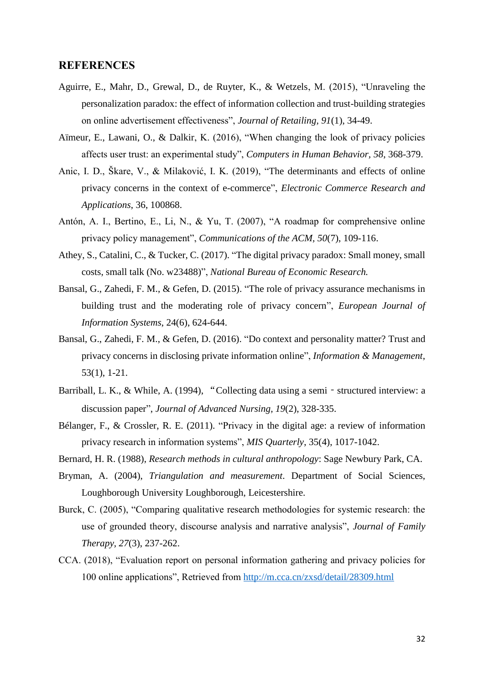#### **REFERENCES**

- Aguirre, E., Mahr, D., Grewal, D., de Ruyter, K., & Wetzels, M. (2015), "Unraveling the personalization paradox: the effect of information collection and trust-building strategies on online advertisement effectiveness", *Journal of Retailing, 91*(1), 34-49.
- Aïmeur, E., Lawani, O., & Dalkir, K. (2016), "When changing the look of privacy policies affects user trust: an experimental study", *Computers in Human Behavior, 58*, 368-379.
- Anic, I. D., Škare, V., & Milaković, I. K. (2019), "The determinants and effects of online privacy concerns in the context of e-commerce", *Electronic Commerce Research and Applications*, 36, 100868.
- Antón, A. I., Bertino, E., Li, N., & Yu, T. (2007), "A roadmap for comprehensive online privacy policy management", *Communications of the ACM, 50*(7), 109-116.
- Athey, S., Catalini, C., & Tucker, C. (2017). "The digital privacy paradox: Small money, small costs, small talk (No. w23488)", *National Bureau of Economic Research.*
- Bansal, G., Zahedi, F. M., & Gefen, D. (2015). "The role of privacy assurance mechanisms in building trust and the moderating role of privacy concern", *European Journal of Information Systems*, 24(6), 624-644.
- Bansal, G., Zahedi, F. M., & Gefen, D. (2016). "Do context and personality matter? Trust and privacy concerns in disclosing private information online", *Information & Management*, 53(1), 1-21.
- Barriball, L. K., & While, A. (1994), "Collecting data using a semi structured interview: a discussion paper", *Journal of Advanced Nursing, 19*(2), 328-335.
- Bélanger, F., & Crossler, R. E. (2011). "Privacy in the digital age: a review of information privacy research in information systems", *MIS Quarterly*, 35(4), 1017-1042.
- Bernard, H. R. (1988), *Research methods in cultural anthropology*: Sage Newbury Park, CA.
- Bryman, A. (2004), *Triangulation and measurement*. Department of Social Sciences, Loughborough University Loughborough, Leicestershire.
- Burck, C. (2005), "Comparing qualitative research methodologies for systemic research: the use of grounded theory, discourse analysis and narrative analysis", *Journal of Family Therapy, 27*(3), 237-262.
- CCA. (2018), "Evaluation report on personal information gathering and privacy policies for 100 online applications", Retrieved from<http://m.cca.cn/zxsd/detail/28309.html>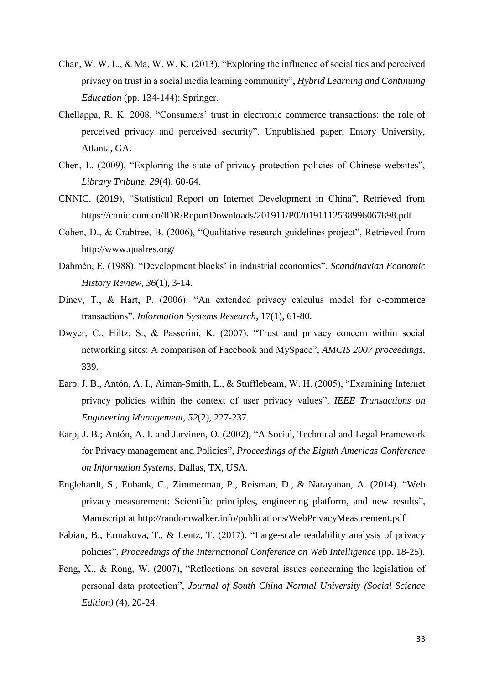- Chan, W. W. L., & Ma, W. W. K. (2013), "Exploring the influence of social ties and perceived privacy on trust in a social media learning community", *Hybrid Learning and Continuing Education* (pp. 134-144): Springer.
- Chellappa, R. K. 2008. "Consumers' trust in electronic commerce transactions: the role of perceived privacy and perceived security". Unpublished paper, Emory University, Atlanta, GA.
- Chen, L. (2009), "Exploring the state of privacy protection policies of Chinese websites", *Library Tribune, 29*(4), 60-64.
- CNNIC. (2019), "Statistical Report on Internet Development in China", Retrieved from https://cnnic.com.cn/IDR/ReportDownloads/201911/P020191112538996067898.pdf
- Cohen, D., & Crabtree, B. (2006), "Qualitative research guidelines project", Retrieved from http://www.qualres.org/
- Dahmén, E, (1988). "Development blocks' in industrial economics", *Scandinavian Economic History Review, 36*(1), 3-14.
- Dinev, T., & Hart, P. (2006). "An extended privacy calculus model for e-commerce transactions". *Information Systems Research*, 17(1), 61-80.
- Dwyer, C., Hiltz, S., & Passerini, K. (2007), "Trust and privacy concern within social networking sites: A comparison of Facebook and MySpace", *AMCIS 2007 proceedings*, 339.
- Earp, J. B., Antón, A. I., Aiman-Smith, L., & Stufflebeam, W. H. (2005), "Examining Internet privacy policies within the context of user privacy values", *IEEE Transactions on Engineering Management, 52*(2), 227-237.
- Earp, J. B.; Antón, A. I. and Jarvinen, O. (2002), "A Social, Technical and Legal Framework for Privacy management and Policies", *Proceedings of the Eighth Americas Conference on Information Systems*, Dallas, TX, USA.
- Englehardt, S., Eubank, C., Zimmerman, P., Reisman, D., & Narayanan, A. (2014). "Web privacy measurement: Scientific principles, engineering platform, and new results", Manuscript at<http://randomwalker.info/publications/WebPrivacyMeasurement.pdf>
- Fabian, B., Ermakova, T., & Lentz, T. (2017). "Large-scale readability analysis of privacy policies", *Proceedings of the International Conference on Web Intelligence* (pp. 18-25).
- Feng, X., & Rong, W. (2007), "Reflections on several issues concerning the legislation of personal data protection", *Journal of South China Normal University (Social Science Edition)* (4), 20-24.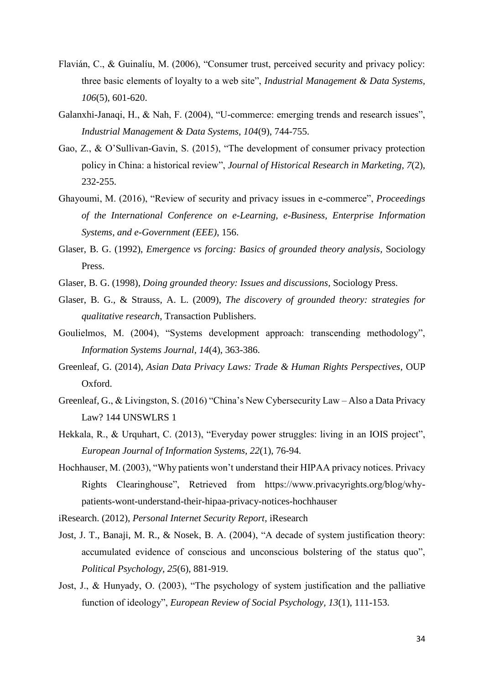- Flavián, C., & Guinalíu, M. (2006), "Consumer trust, perceived security and privacy policy: three basic elements of loyalty to a web site", *Industrial Management & Data Systems, 106*(5), 601-620.
- Galanxhi-Janaqi, H., & Nah, F. (2004), "U-commerce: emerging trends and research issues", *Industrial Management & Data Systems, 104*(9), 744-755.
- Gao, Z., & O'Sullivan-Gavin, S. (2015), "The development of consumer privacy protection policy in China: a historical review", *Journal of Historical Research in Marketing, 7*(2), 232-255.
- Ghayoumi, M. (2016), "Review of security and privacy issues in e-commerce", *Proceedings of the International Conference on e-Learning, e-Business, Enterprise Information Systems, and e-Government (EEE)*, 156.
- Glaser, B. G. (1992), *Emergence vs forcing: Basics of grounded theory analysis*, Sociology Press.
- Glaser, B. G. (1998), *Doing grounded theory: Issues and discussions*, Sociology Press.
- Glaser, B. G., & Strauss, A. L. (2009), *The discovery of grounded theory: strategies for qualitative research*, Transaction Publishers.
- Goulielmos, M. (2004), "Systems development approach: transcending methodology", *Information Systems Journal, 14*(4), 363-386.
- Greenleaf, G. (2014), *Asian Data Privacy Laws: Trade & Human Rights Perspectives*, OUP Oxford.
- Greenleaf, G., & Livingston, S. (2016) "China's New Cybersecurity Law Also a Data Privacy Law? 144 UNSWLRS 1
- Hekkala, R., & Urquhart, C. (2013), "Everyday power struggles: living in an IOIS project", *European Journal of Information Systems, 22*(1), 76-94.
- Hochhauser, M. (2003), "Why patients won't understand their HIPAA privacy notices. Privacy Rights Clearinghouse", Retrieved from https://www.privacyrights.org/blog/whypatients-wont-understand-their-hipaa-privacy-notices-hochhauser

iResearch. (2012), *Personal Internet Security Report*, iResearch

- Jost, J. T., Banaji, M. R., & Nosek, B. A. (2004), "A decade of system justification theory: accumulated evidence of conscious and unconscious bolstering of the status quo", *Political Psychology, 25*(6), 881-919.
- Jost, J., & Hunyady, O. (2003), "The psychology of system justification and the palliative function of ideology", *European Review of Social Psychology, 13*(1), 111-153.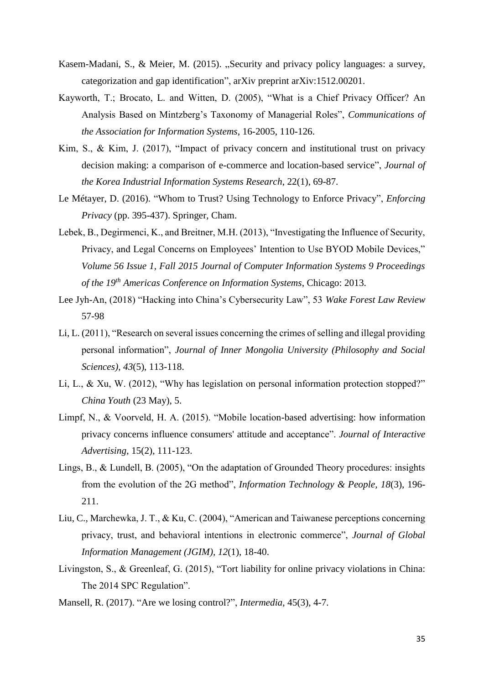- Kasem-Madani, S., & Meier, M. (2015). "Security and privacy policy languages: a survey, categorization and gap identification", arXiv preprint arXiv:1512.00201.
- Kayworth, T.; Brocato, L. and Witten, D. (2005), "What is a Chief Privacy Officer? An Analysis Based on Mintzberg's Taxonomy of Managerial Roles", *Communications of the Association for Information Systems*, 16-2005, 110-126.
- Kim, S., & Kim, J. (2017), "Impact of privacy concern and institutional trust on privacy decision making: a comparison of e-commerce and location-based service", *Journal of the Korea Industrial Information Systems Research*, 22(1), 69-87.
- Le Métayer, D. (2016). "Whom to Trust? Using Technology to Enforce Privacy", *Enforcing Privacy* (pp. 395-437). Springer, Cham.
- Lebek, B., Degirmenci, K., and Breitner, M.H. (2013), "Investigating the Influence of Security, Privacy, and Legal Concerns on Employees' Intention to Use BYOD Mobile Devices," *Volume 56 Issue 1, Fall 2015 Journal of Computer Information Systems 9 Proceedings of the 19th Americas Conference on Information Systems*, Chicago: 2013.
- Lee Jyh-An, (2018) "Hacking into China's Cybersecurity Law", 53 *Wake Forest Law Review* 57-98
- Li, L. (2011), "Research on several issues concerning the crimes of selling and illegal providing personal information", *Journal of Inner Mongolia University (Philosophy and Social Sciences), 43*(5), 113-118.
- Li, L., & Xu, W. (2012), "Why has legislation on personal information protection stopped?" *China Youth* (23 May), 5.
- Limpf, N., & Voorveld, H. A. (2015). "Mobile location-based advertising: how information privacy concerns influence consumers' attitude and acceptance". *Journal of Interactive Advertising*, 15(2), 111-123.
- Lings, B., & Lundell, B. (2005), "On the adaptation of Grounded Theory procedures: insights from the evolution of the 2G method", *Information Technology & People, 18*(3), 196- 211.
- Liu, C., Marchewka, J. T., & Ku, C. (2004), "American and Taiwanese perceptions concerning privacy, trust, and behavioral intentions in electronic commerce", *Journal of Global Information Management (JGIM), 12*(1), 18-40.
- Livingston, S., & Greenleaf, G. (2015), "Tort liability for online privacy violations in China: The 2014 SPC Regulation".
- Mansell, R. (2017). "Are we losing control?", *Intermedia*, 45(3), 4-7.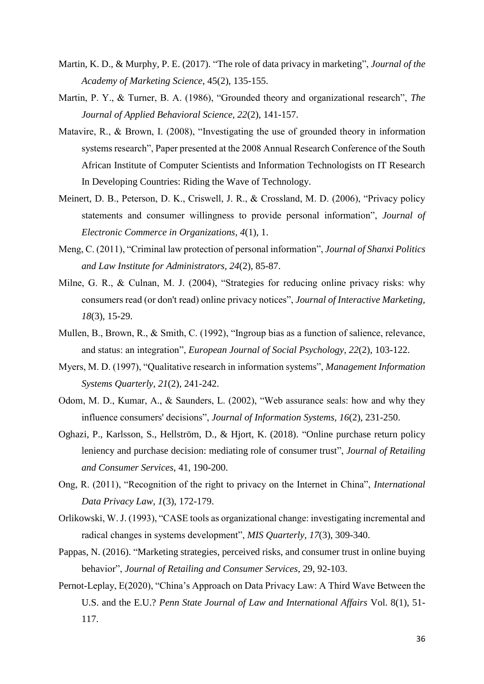- Martin, K. D., & Murphy, P. E. (2017). "The role of data privacy in marketing", *Journal of the Academy of Marketing Science*, 45(2), 135-155.
- Martin, P. Y., & Turner, B. A. (1986), "Grounded theory and organizational research", *The Journal of Applied Behavioral Science, 22*(2), 141-157.
- Matavire, R., & Brown, I. (2008), "Investigating the use of grounded theory in information systems research", Paper presented at the 2008 Annual Research Conference of the South African Institute of Computer Scientists and Information Technologists on IT Research In Developing Countries: Riding the Wave of Technology.
- Meinert, D. B., Peterson, D. K., Criswell, J. R., & Crossland, M. D. (2006), "Privacy policy statements and consumer willingness to provide personal information", *Journal of Electronic Commerce in Organizations, 4*(1), 1.
- Meng, C. (2011), "Criminal law protection of personal information", *Journal of Shanxi Politics and Law Institute for Administrators, 24*(2), 85-87.
- Milne, G. R., & Culnan, M. J. (2004), "Strategies for reducing online privacy risks: why consumers read (or don't read) online privacy notices", *Journal of Interactive Marketing, 18*(3), 15-29.
- Mullen, B., Brown, R., & Smith, C. (1992), "Ingroup bias as a function of salience, relevance, and status: an integration", *European Journal of Social Psychology, 22*(2), 103-122.
- Myers, M. D. (1997), "Qualitative research in information systems", *Management Information Systems Quarterly, 21*(2), 241-242.
- Odom, M. D., Kumar, A., & Saunders, L. (2002), "Web assurance seals: how and why they influence consumers' decisions", *Journal of Information Systems, 16*(2), 231-250.
- Oghazi, P., Karlsson, S., Hellström, D., & Hjort, K. (2018). "Online purchase return policy leniency and purchase decision: mediating role of consumer trust", *Journal of Retailing and Consumer Services*, 41, 190-200.
- Ong, R. (2011), "Recognition of the right to privacy on the Internet in China", *International Data Privacy Law, 1*(3), 172-179.
- Orlikowski, W. J. (1993), "CASE tools as organizational change: investigating incremental and radical changes in systems development", *MIS Quarterly, 17*(3), 309-340.
- Pappas, N. (2016). "Marketing strategies, perceived risks, and consumer trust in online buying behavior", *Journal of Retailing and Consumer Services*, 29, 92-103.
- Pernot-Leplay, E(2020), "China's Approach on Data Privacy Law: A Third Wave Between the U.S. and the E.U.? *Penn State Journal of Law and International Affairs* Vol. 8(1), 51- 117.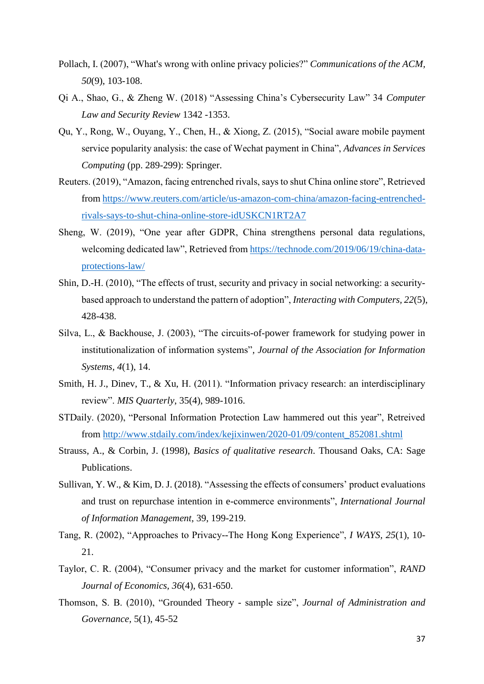- Pollach, I. (2007), "What's wrong with online privacy policies?" *Communications of the ACM, 50*(9), 103-108.
- Qi A., Shao, G., & Zheng W. (2018) "Assessing China's Cybersecurity Law" 34 *Computer Law and Security Review* 1342 -1353.
- Qu, Y., Rong, W., Ouyang, Y., Chen, H., & Xiong, Z. (2015), "Social aware mobile payment service popularity analysis: the case of Wechat payment in China", *Advances in Services Computing* (pp. 289-299): Springer.
- Reuters. (2019), "Amazon, facing entrenched rivals, says to shut China online store", Retrieved from [https://www.reuters.com/article/us-amazon-com-china/amazon-facing-entrenched](https://www.reuters.com/article/us-amazon-com-china/amazon-facing-entrenched-rivals-says-to-shut-china-online-store-idUSKCN1RT2A7)[rivals-says-to-shut-china-online-store-idUSKCN1RT2A7](https://www.reuters.com/article/us-amazon-com-china/amazon-facing-entrenched-rivals-says-to-shut-china-online-store-idUSKCN1RT2A7)
- Sheng, W. (2019), "One year after GDPR, China strengthens personal data regulations, welcoming dedicated law", Retrieved fro[m https://technode.com/2019/06/19/china-data](https://technode.com/2019/06/19/china-data-protections-law/)[protections-law/](https://technode.com/2019/06/19/china-data-protections-law/)
- Shin, D.-H. (2010), "The effects of trust, security and privacy in social networking: a securitybased approach to understand the pattern of adoption", *Interacting with Computers, 22*(5), 428-438.
- Silva, L., & Backhouse, J. (2003), "The circuits-of-power framework for studying power in institutionalization of information systems"*, Journal of the Association for Information Systems, 4*(1), 14.
- Smith, H. J., Dinev, T., & Xu, H. (2011). "Information privacy research: an interdisciplinary review". *MIS Quarterly*, 35(4), 989-1016.
- STDaily. (2020), "Personal Information Protection Law hammered out this year", Retreived from [http://www.stdaily.com/index/kejixinwen/2020-01/09/content\\_852081.shtml](http://www.stdaily.com/index/kejixinwen/2020-01/09/content_852081.shtml)
- Strauss, A., & Corbin, J. (1998), *Basics of qualitative research*. Thousand Oaks, CA: Sage Publications.
- Sullivan, Y. W., & Kim, D. J. (2018). "Assessing the effects of consumers' product evaluations and trust on repurchase intention in e-commerce environments", *International Journal of Information Management*, 39, 199-219.
- Tang, R. (2002), "Approaches to Privacy--The Hong Kong Experience", *I WAYS, 25*(1), 10- 21.
- Taylor, C. R. (2004), "Consumer privacy and the market for customer information", *RAND Journal of Economics, 36*(4), 631-650.
- Thomson, S. B. (2010), "Grounded Theory sample size", *Journal of Administration and Governance,* 5(1), 45-52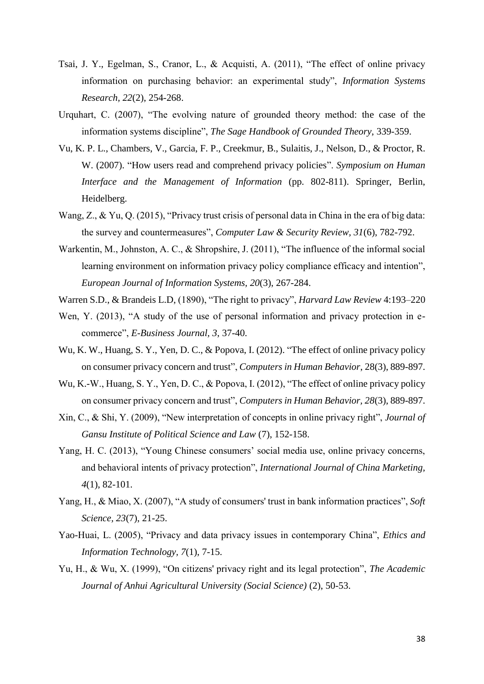- Tsai, J. Y., Egelman, S., Cranor, L., & Acquisti, A. (2011), "The effect of online privacy information on purchasing behavior: an experimental study", *Information Systems Research, 22*(2), 254-268.
- Urquhart, C. (2007), "The evolving nature of grounded theory method: the case of the information systems discipline", *The Sage Handbook of Grounded Theory*, 339-359.
- Vu, K. P. L., Chambers, V., Garcia, F. P., Creekmur, B., Sulaitis, J., Nelson, D., & Proctor, R. W. (2007). "How users read and comprehend privacy policies". *Symposium on Human Interface and the Management of Information* (pp. 802-811). Springer, Berlin, Heidelberg.
- Wang, Z., & Yu, Q. (2015), "Privacy trust crisis of personal data in China in the era of big data: the survey and countermeasures", *Computer Law & Security Review, 31*(6), 782-792.
- Warkentin, M., Johnston, A. C., & Shropshire, J. (2011), "The influence of the informal social learning environment on information privacy policy compliance efficacy and intention", *European Journal of Information Systems, 20*(3), 267-284.
- Warren S.D., & Brandeis L.D, (1890), "The right to privacy", *Harvard Law Review* 4:193–220
- Wen, Y. (2013), "A study of the use of personal information and privacy protection in ecommerce", *E-Business Journal, 3*, 37-40.
- Wu, K. W., Huang, S. Y., Yen, D. C., & Popova, I. (2012). "The effect of online privacy policy on consumer privacy concern and trust", *Computers in Human Behavior*, 28(3), 889-897.
- Wu, K.-W., Huang, S. Y., Yen, D. C., & Popova, I. (2012), "The effect of online privacy policy on consumer privacy concern and trust", *Computers in Human Behavior, 28*(3), 889-897.
- Xin, C., & Shi, Y. (2009), "New interpretation of concepts in online privacy right", *Journal of Gansu Institute of Political Science and Law* (7), 152-158.
- Yang, H. C. (2013), "Young Chinese consumers' social media use, online privacy concerns, and behavioral intents of privacy protection", *International Journal of China Marketing, 4*(1), 82-101.
- Yang, H., & Miao, X. (2007), "A study of consumers' trust in bank information practices", *Soft Science, 23*(7), 21-25.
- Yao-Huai, L. (2005), "Privacy and data privacy issues in contemporary China", *Ethics and Information Technology, 7*(1), 7-15.
- Yu, H., & Wu, X. (1999), "On citizens' privacy right and its legal protection", *The Academic Journal of Anhui Agricultural University (Social Science)* (2), 50-53.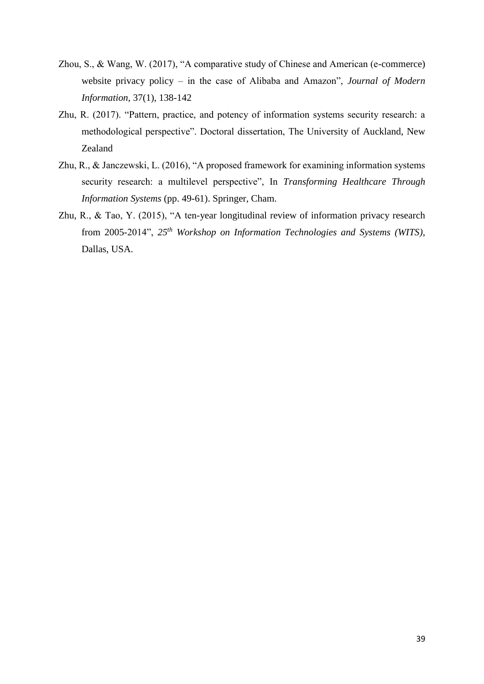- Zhou, S., & Wang, W. (2017), "A comparative study of Chinese and American (e-commerce) website privacy policy – in the case of Alibaba and Amazon", *Journal of Modern Information*, 37(1), 138-142
- Zhu, R. (2017). "Pattern, practice, and potency of information systems security research: a methodological perspective". Doctoral dissertation, The University of Auckland, New Zealand
- Zhu, R., & Janczewski, L. (2016), "A proposed framework for examining information systems security research: a multilevel perspective", In *Transforming Healthcare Through Information Systems* (pp. 49-61). Springer, Cham.
- Zhu, R., & Tao, Y. (2015), "A ten-year longitudinal review of information privacy research from 2005-2014", *25th Workshop on Information Technologies and Systems (WITS)*, Dallas, USA.